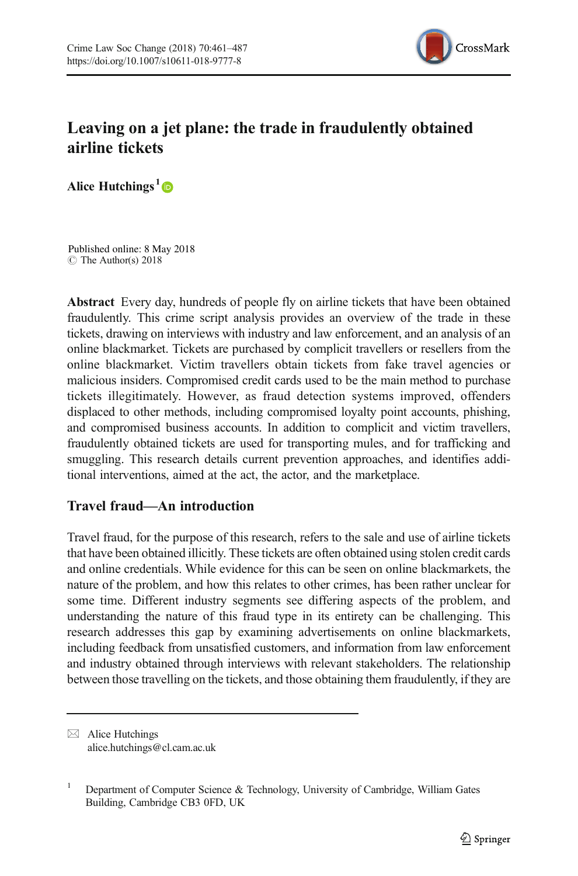

# Leaving on a jet plane: the trade in fraudulently obtained airline tickets

Alice Hutchings<sup>1</sup>

 $\circ$  The Author(s) 2018 Published online: 8 May 2018

Abstract Every day, hundreds of people fly on airline tickets that have been obtained fraudulently. This crime script analysis provides an overview of the trade in these tickets, drawing on interviews with industry and law enforcement, and an analysis of an online blackmarket. Tickets are purchased by complicit travellers or resellers from the online blackmarket. Victim travellers obtain tickets from fake travel agencies or malicious insiders. Compromised credit cards used to be the main method to purchase tickets illegitimately. However, as fraud detection systems improved, offenders displaced to other methods, including compromised loyalty point accounts, phishing, and compromised business accounts. In addition to complicit and victim travellers, fraudulently obtained tickets are used for transporting mules, and for trafficking and smuggling. This research details current prevention approaches, and identifies additional interventions, aimed at the act, the actor, and the marketplace.

# Travel fraud—An introduction

Travel fraud, for the purpose of this research, refers to the sale and use of airline tickets that have been obtained illicitly. These tickets are often obtained using stolen credit cards and online credentials. While evidence for this can be seen on online blackmarkets, the nature of the problem, and how this relates to other crimes, has been rather unclear for some time. Different industry segments see differing aspects of the problem, and understanding the nature of this fraud type in its entirety can be challenging. This research addresses this gap by examining advertisements on online blackmarkets, including feedback from unsatisfied customers, and information from law enforcement and industry obtained through interviews with relevant stakeholders. The relationship between those travelling on the tickets, and those obtaining them fraudulently, if they are

 $\boxtimes$  Alice Hutchings [alice.hutchings@cl.cam.ac.uk](mailto:alice.hutchings@cl.cam.ac.uk)

<sup>&</sup>lt;sup>1</sup> Department of Computer Science & Technology, University of Cambridge, William Gates Building, Cambridge CB3 0FD, UK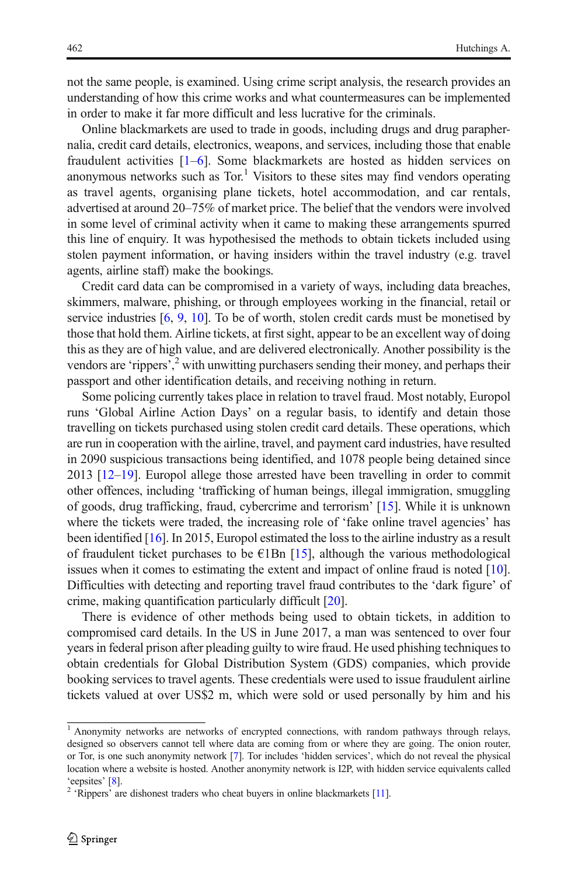not the same people, is examined. Using crime script analysis, the research provides an understanding of how this crime works and what countermeasures can be implemented in order to make it far more difficult and less lucrative for the criminals.

Online blackmarkets are used to trade in goods, including drugs and drug paraphernalia, credit card details, electronics, weapons, and services, including those that enable fraudulent activities [[1](#page-24-0)–[6\]](#page-24-0). Some blackmarkets are hosted as hidden services on anonymous networks such as  $Tor<sup>1</sup>$  Visitors to these sites may find vendors operating as travel agents, organising plane tickets, hotel accommodation, and car rentals, advertised at around 20–75% of market price. The belief that the vendors were involved in some level of criminal activity when it came to making these arrangements spurred this line of enquiry. It was hypothesised the methods to obtain tickets included using stolen payment information, or having insiders within the travel industry (e.g. travel agents, airline staff) make the bookings.

Credit card data can be compromised in a variety of ways, including data breaches, skimmers, malware, phishing, or through employees working in the financial, retail or service industries [[6,](#page-24-0) [9,](#page-25-0) [10\]](#page-25-0). To be of worth, stolen credit cards must be monetised by those that hold them. Airline tickets, at first sight, appear to be an excellent way of doing this as they are of high value, and are delivered electronically. Another possibility is the vendors are 'rippers',<sup>2</sup> with unwitting purchasers sending their money, and perhaps their passport and other identification details, and receiving nothing in return.

Some policing currently takes place in relation to travel fraud. Most notably, Europol runs 'Global Airline Action Days' on a regular basis, to identify and detain those travelling on tickets purchased using stolen credit card details. These operations, which are run in cooperation with the airline, travel, and payment card industries, have resulted in 2090 suspicious transactions being identified, and 1078 people being detained since 2013 [\[12](#page-25-0)–[19\]](#page-25-0). Europol allege those arrested have been travelling in order to commit other offences, including 'trafficking of human beings, illegal immigration, smuggling of goods, drug trafficking, fraud, cybercrime and terrorism' [[15\]](#page-25-0). While it is unknown where the tickets were traded, the increasing role of 'fake online travel agencies' has been identified [\[16\]](#page-25-0). In 2015, Europol estimated the loss to the airline industry as a result of fraudulent ticket purchases to be  $\epsilon$ 1Bn [\[15\]](#page-25-0), although the various methodological issues when it comes to estimating the extent and impact of online fraud is noted [[10\]](#page-25-0). Difficulties with detecting and reporting travel fraud contributes to the 'dark figure' of crime, making quantification particularly difficult [\[20\]](#page-25-0).

There is evidence of other methods being used to obtain tickets, in addition to compromised card details. In the US in June 2017, a man was sentenced to over four years in federal prison after pleading guilty to wire fraud. He used phishing techniques to obtain credentials for Global Distribution System (GDS) companies, which provide booking services to travel agents. These credentials were used to issue fraudulent airline tickets valued at over US\$2 m, which were sold or used personally by him and his

<sup>&</sup>lt;sup>1</sup> Anonymity networks are networks of encrypted connections, with random pathways through relays, designed so observers cannot tell where data are coming from or where they are going. The onion router, or Tor, is one such anonymity network [[7](#page-25-0)]. Tor includes 'hidden services', which do not reveal the physical location where a website is hosted. Another anonymity network is I2P, with hidden service equivalents called 'eepsites' [[8\]](#page-25-0).  $2 \cdot$  'Rippers' are dishonest traders who cheat buyers in online blackmarkets [[11](#page-25-0)].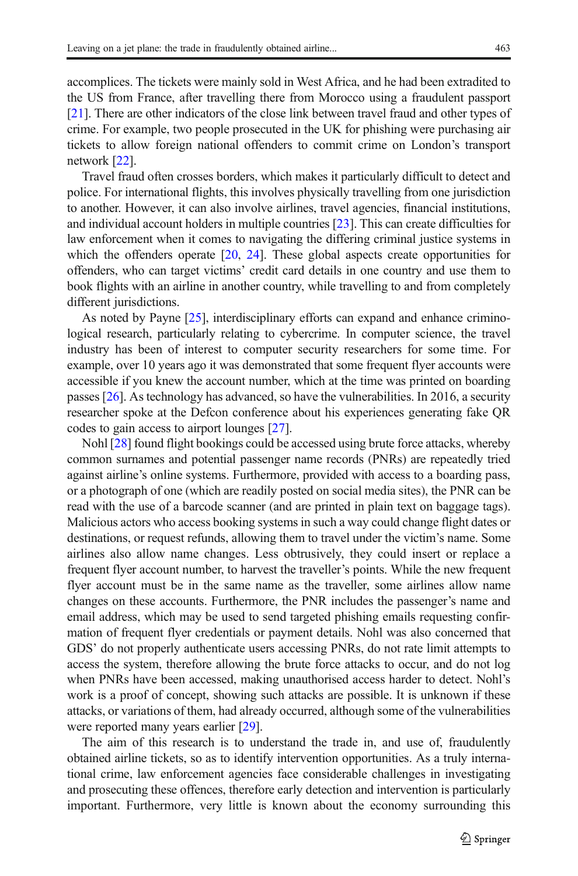accomplices. The tickets were mainly sold in West Africa, and he had been extradited to the US from France, after travelling there from Morocco using a fraudulent passport [\[21\]](#page-25-0). There are other indicators of the close link between travel fraud and other types of crime. For example, two people prosecuted in the UK for phishing were purchasing air tickets to allow foreign national offenders to commit crime on London's transport network [[22](#page-25-0)].

Travel fraud often crosses borders, which makes it particularly difficult to detect and police. For international flights, this involves physically travelling from one jurisdiction to another. However, it can also involve airlines, travel agencies, financial institutions, and individual account holders in multiple countries [\[23\]](#page-25-0). This can create difficulties for law enforcement when it comes to navigating the differing criminal justice systems in which the offenders operate [\[20,](#page-25-0) [24](#page-25-0)]. These global aspects create opportunities for offenders, who can target victims' credit card details in one country and use them to book flights with an airline in another country, while travelling to and from completely different jurisdictions.

As noted by Payne [[25](#page-25-0)], interdisciplinary efforts can expand and enhance criminological research, particularly relating to cybercrime. In computer science, the travel industry has been of interest to computer security researchers for some time. For example, over 10 years ago it was demonstrated that some frequent flyer accounts were accessible if you knew the account number, which at the time was printed on boarding passes [\[26\]](#page-25-0). As technology has advanced, so have the vulnerabilities. In 2016, a security researcher spoke at the Defcon conference about his experiences generating fake QR codes to gain access to airport lounges [[27\]](#page-25-0).

Nohl [[28\]](#page-25-0) found flight bookings could be accessed using brute force attacks, whereby common surnames and potential passenger name records (PNRs) are repeatedly tried against airline's online systems. Furthermore, provided with access to a boarding pass, or a photograph of one (which are readily posted on social media sites), the PNR can be read with the use of a barcode scanner (and are printed in plain text on baggage tags). Malicious actors who access booking systems in such a way could change flight dates or destinations, or request refunds, allowing them to travel under the victim's name. Some airlines also allow name changes. Less obtrusively, they could insert or replace a frequent flyer account number, to harvest the traveller's points. While the new frequent flyer account must be in the same name as the traveller, some airlines allow name changes on these accounts. Furthermore, the PNR includes the passenger's name and email address, which may be used to send targeted phishing emails requesting confirmation of frequent flyer credentials or payment details. Nohl was also concerned that GDS' do not properly authenticate users accessing PNRs, do not rate limit attempts to access the system, therefore allowing the brute force attacks to occur, and do not log when PNRs have been accessed, making unauthorised access harder to detect. Nohl's work is a proof of concept, showing such attacks are possible. It is unknown if these attacks, or variations of them, had already occurred, although some of the vulnerabilities were reported many years earlier [[29](#page-25-0)].

The aim of this research is to understand the trade in, and use of, fraudulently obtained airline tickets, so as to identify intervention opportunities. As a truly international crime, law enforcement agencies face considerable challenges in investigating and prosecuting these offences, therefore early detection and intervention is particularly important. Furthermore, very little is known about the economy surrounding this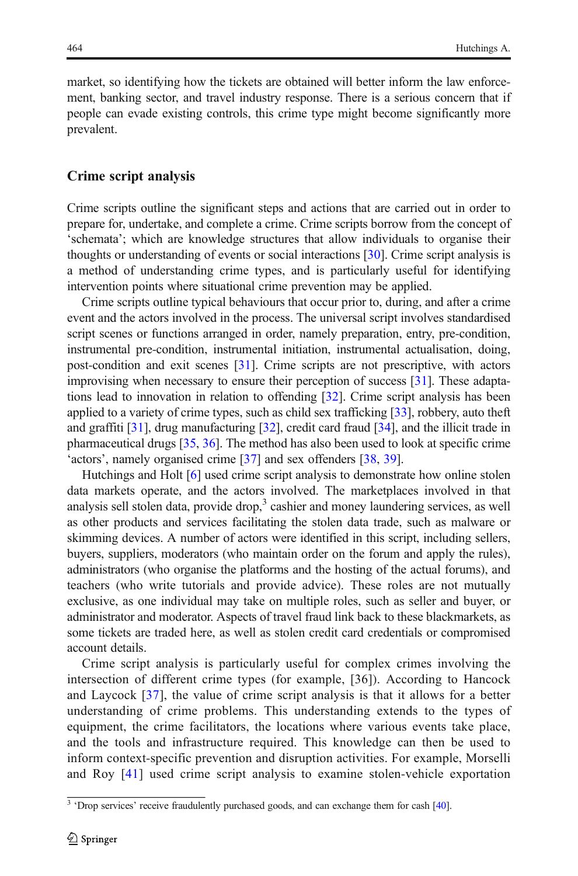market, so identifying how the tickets are obtained will better inform the law enforcement, banking sector, and travel industry response. There is a serious concern that if people can evade existing controls, this crime type might become significantly more prevalent.

### Crime script analysis

Crime scripts outline the significant steps and actions that are carried out in order to prepare for, undertake, and complete a crime. Crime scripts borrow from the concept of 'schemata'; which are knowledge structures that allow individuals to organise their thoughts or understanding of events or social interactions [[30](#page-25-0)]. Crime script analysis is a method of understanding crime types, and is particularly useful for identifying intervention points where situational crime prevention may be applied.

Crime scripts outline typical behaviours that occur prior to, during, and after a crime event and the actors involved in the process. The universal script involves standardised script scenes or functions arranged in order, namely preparation, entry, pre-condition, instrumental pre-condition, instrumental initiation, instrumental actualisation, doing, post-condition and exit scenes [\[31\]](#page-25-0). Crime scripts are not prescriptive, with actors improvising when necessary to ensure their perception of success [\[31](#page-25-0)]. These adaptations lead to innovation in relation to offending [[32](#page-26-0)]. Crime script analysis has been applied to a variety of crime types, such as child sex trafficking [\[33\]](#page-26-0), robbery, auto theft and graffiti [[31](#page-25-0)], drug manufacturing [\[32\]](#page-26-0), credit card fraud [[34](#page-26-0)], and the illicit trade in pharmaceutical drugs [\[35](#page-26-0), [36\]](#page-26-0). The method has also been used to look at specific crime 'actors', namely organised crime [\[37](#page-26-0)] and sex offenders [[38](#page-26-0), [39\]](#page-26-0).

Hutchings and Holt [[6\]](#page-24-0) used crime script analysis to demonstrate how online stolen data markets operate, and the actors involved. The marketplaces involved in that analysis sell stolen data, provide drop, $3$  cashier and money laundering services, as well as other products and services facilitating the stolen data trade, such as malware or skimming devices. A number of actors were identified in this script, including sellers, buyers, suppliers, moderators (who maintain order on the forum and apply the rules), administrators (who organise the platforms and the hosting of the actual forums), and teachers (who write tutorials and provide advice). These roles are not mutually exclusive, as one individual may take on multiple roles, such as seller and buyer, or administrator and moderator. Aspects of travel fraud link back to these blackmarkets, as some tickets are traded here, as well as stolen credit card credentials or compromised account details.

Crime script analysis is particularly useful for complex crimes involving the intersection of different crime types (for example, [36]). According to Hancock and Laycock [[37](#page-26-0)], the value of crime script analysis is that it allows for a better understanding of crime problems. This understanding extends to the types of equipment, the crime facilitators, the locations where various events take place, and the tools and infrastructure required. This knowledge can then be used to inform context-specific prevention and disruption activities. For example, Morselli and Roy [\[41\]](#page-26-0) used crime script analysis to examine stolen-vehicle exportation

<sup>&</sup>lt;sup>3</sup> 'Drop services' receive fraudulently purchased goods, and can exchange them for cash [[40](#page-26-0)].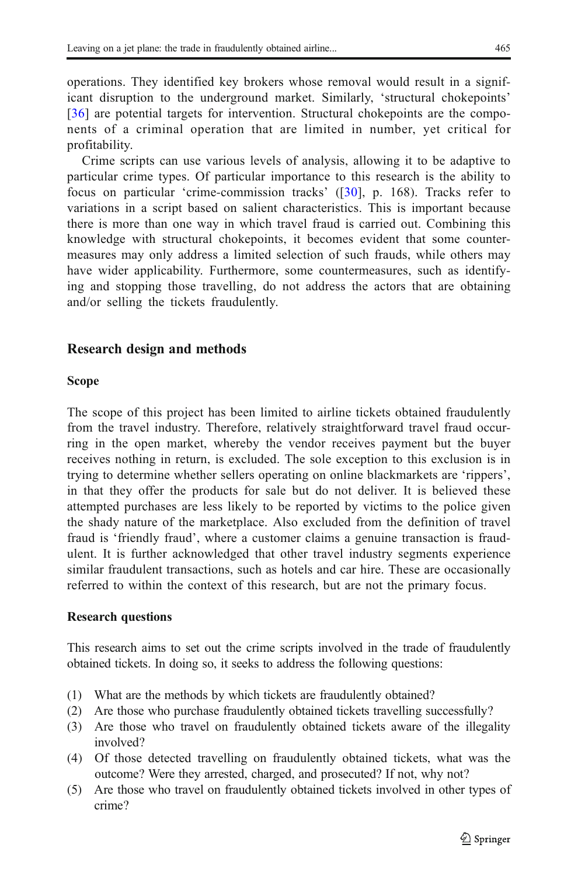operations. They identified key brokers whose removal would result in a significant disruption to the underground market. Similarly, 'structural chokepoints' [\[36\]](#page-26-0) are potential targets for intervention. Structural chokepoints are the components of a criminal operation that are limited in number, yet critical for profitability.

Crime scripts can use various levels of analysis, allowing it to be adaptive to particular crime types. Of particular importance to this research is the ability to focus on particular 'crime-commission tracks' ([[30](#page-25-0)], p. 168). Tracks refer to variations in a script based on salient characteristics. This is important because there is more than one way in which travel fraud is carried out. Combining this knowledge with structural chokepoints, it becomes evident that some countermeasures may only address a limited selection of such frauds, while others may have wider applicability. Furthermore, some countermeasures, such as identifying and stopping those travelling, do not address the actors that are obtaining and/or selling the tickets fraudulently.

### Research design and methods

### Scope

The scope of this project has been limited to airline tickets obtained fraudulently from the travel industry. Therefore, relatively straightforward travel fraud occurring in the open market, whereby the vendor receives payment but the buyer receives nothing in return, is excluded. The sole exception to this exclusion is in trying to determine whether sellers operating on online blackmarkets are 'rippers', in that they offer the products for sale but do not deliver. It is believed these attempted purchases are less likely to be reported by victims to the police given the shady nature of the marketplace. Also excluded from the definition of travel fraud is 'friendly fraud', where a customer claims a genuine transaction is fraudulent. It is further acknowledged that other travel industry segments experience similar fraudulent transactions, such as hotels and car hire. These are occasionally referred to within the context of this research, but are not the primary focus.

### Research questions

This research aims to set out the crime scripts involved in the trade of fraudulently obtained tickets. In doing so, it seeks to address the following questions:

- (1) What are the methods by which tickets are fraudulently obtained?
- (2) Are those who purchase fraudulently obtained tickets travelling successfully?
- (3) Are those who travel on fraudulently obtained tickets aware of the illegality involved?
- (4) Of those detected travelling on fraudulently obtained tickets, what was the outcome? Were they arrested, charged, and prosecuted? If not, why not?
- (5) Are those who travel on fraudulently obtained tickets involved in other types of crime?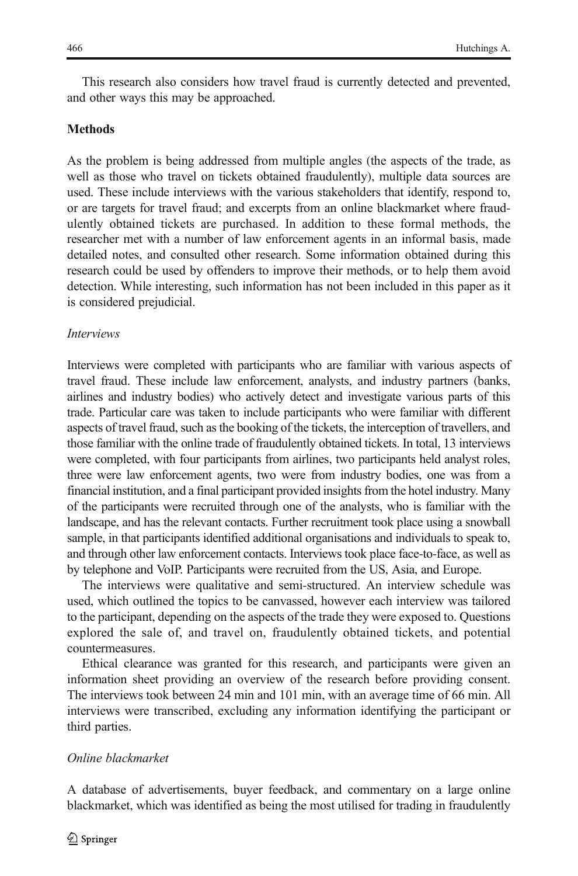This research also considers how travel fraud is currently detected and prevented, and other ways this may be approached.

### **Methods**

As the problem is being addressed from multiple angles (the aspects of the trade, as well as those who travel on tickets obtained fraudulently), multiple data sources are used. These include interviews with the various stakeholders that identify, respond to, or are targets for travel fraud; and excerpts from an online blackmarket where fraudulently obtained tickets are purchased. In addition to these formal methods, the researcher met with a number of law enforcement agents in an informal basis, made detailed notes, and consulted other research. Some information obtained during this research could be used by offenders to improve their methods, or to help them avoid detection. While interesting, such information has not been included in this paper as it is considered prejudicial.

#### **Interviews**

Interviews were completed with participants who are familiar with various aspects of travel fraud. These include law enforcement, analysts, and industry partners (banks, airlines and industry bodies) who actively detect and investigate various parts of this trade. Particular care was taken to include participants who were familiar with different aspects of travel fraud, such as the booking of the tickets, the interception of travellers, and those familiar with the online trade of fraudulently obtained tickets. In total, 13 interviews were completed, with four participants from airlines, two participants held analyst roles, three were law enforcement agents, two were from industry bodies, one was from a financial institution, and a final participant provided insights from the hotel industry. Many of the participants were recruited through one of the analysts, who is familiar with the landscape, and has the relevant contacts. Further recruitment took place using a snowball sample, in that participants identified additional organisations and individuals to speak to, and through other law enforcement contacts. Interviews took place face-to-face, as well as by telephone and VoIP. Participants were recruited from the US, Asia, and Europe.

The interviews were qualitative and semi-structured. An interview schedule was used, which outlined the topics to be canvassed, however each interview was tailored to the participant, depending on the aspects of the trade they were exposed to. Questions explored the sale of, and travel on, fraudulently obtained tickets, and potential countermeasures.

Ethical clearance was granted for this research, and participants were given an information sheet providing an overview of the research before providing consent. The interviews took between 24 min and 101 min, with an average time of 66 min. All interviews were transcribed, excluding any information identifying the participant or third parties.

#### Online blackmarket

A database of advertisements, buyer feedback, and commentary on a large online blackmarket, which was identified as being the most utilised for trading in fraudulently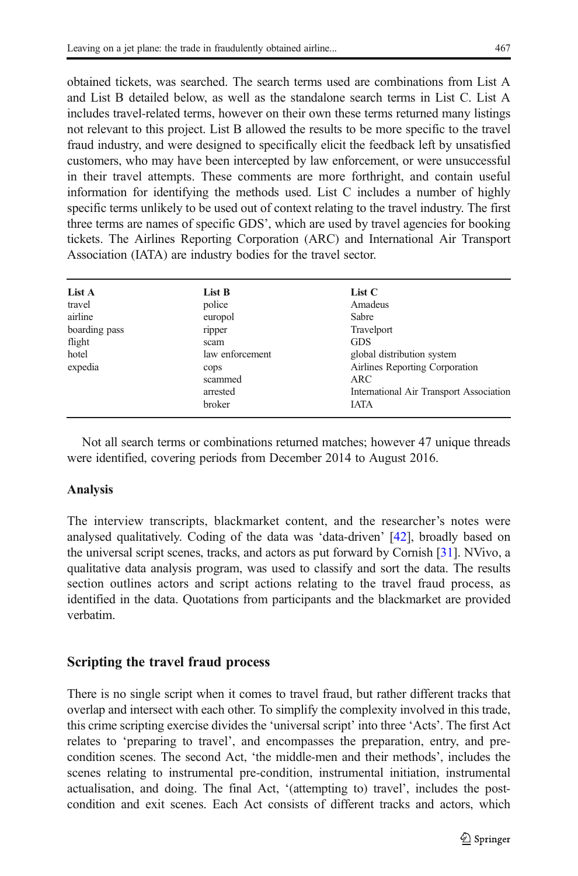obtained tickets, was searched. The search terms used are combinations from List A and List B detailed below, as well as the standalone search terms in List C. List A includes travel-related terms, however on their own these terms returned many listings not relevant to this project. List B allowed the results to be more specific to the travel fraud industry, and were designed to specifically elicit the feedback left by unsatisfied customers, who may have been intercepted by law enforcement, or were unsuccessful in their travel attempts. These comments are more forthright, and contain useful information for identifying the methods used. List C includes a number of highly specific terms unlikely to be used out of context relating to the travel industry. The first three terms are names of specific GDS', which are used by travel agencies for booking tickets. The Airlines Reporting Corporation (ARC) and International Air Transport Association (IATA) are industry bodies for the travel sector.

| List A        | List B          | List C                                  |
|---------------|-----------------|-----------------------------------------|
| travel        | police          | Amadeus                                 |
| airline       | europol         | Sabre                                   |
| boarding pass | ripper          | Travelport                              |
| flight        | scam            | <b>GDS</b>                              |
| hotel         | law enforcement | global distribution system              |
| expedia       | cops            | Airlines Reporting Corporation          |
|               | scammed         | ARC                                     |
|               | arrested        | International Air Transport Association |
|               | broker          | IATA                                    |

Not all search terms or combinations returned matches; however 47 unique threads were identified, covering periods from December 2014 to August 2016.

# Analysis

The interview transcripts, blackmarket content, and the researcher's notes were analysed qualitatively. Coding of the data was 'data-driven' [[42](#page-26-0)], broadly based on the universal script scenes, tracks, and actors as put forward by Cornish [\[31\]](#page-25-0). NVivo, a qualitative data analysis program, was used to classify and sort the data. The results section outlines actors and script actions relating to the travel fraud process, as identified in the data. Quotations from participants and the blackmarket are provided verbatim.

# Scripting the travel fraud process

There is no single script when it comes to travel fraud, but rather different tracks that overlap and intersect with each other. To simplify the complexity involved in this trade, this crime scripting exercise divides the 'universal script' into three 'Acts'. The first Act relates to 'preparing to travel', and encompasses the preparation, entry, and precondition scenes. The second Act, 'the middle-men and their methods', includes the scenes relating to instrumental pre-condition, instrumental initiation, instrumental actualisation, and doing. The final Act, '(attempting to) travel', includes the postcondition and exit scenes. Each Act consists of different tracks and actors, which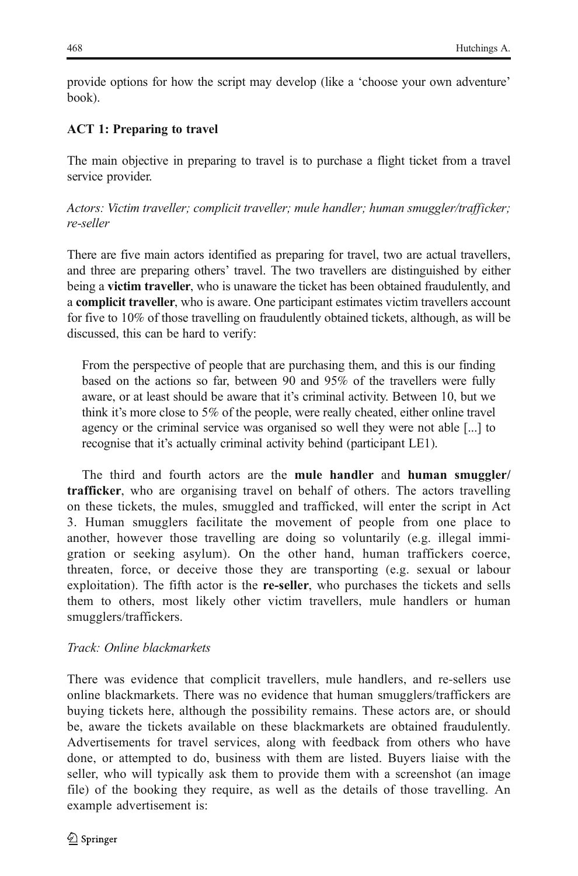provide options for how the script may develop (like a 'choose your own adventure' book).

### ACT 1: Preparing to travel

The main objective in preparing to travel is to purchase a flight ticket from a travel service provider.

Actors: Victim traveller; complicit traveller; mule handler; human smuggler/trafficker; re-seller

There are five main actors identified as preparing for travel, two are actual travellers, and three are preparing others' travel. The two travellers are distinguished by either being a **victim traveller**, who is unaware the ticket has been obtained fraudulently, and a complicit traveller, who is aware. One participant estimates victim travellers account for five to 10% of those travelling on fraudulently obtained tickets, although, as will be discussed, this can be hard to verify:

From the perspective of people that are purchasing them, and this is our finding based on the actions so far, between 90 and 95% of the travellers were fully aware, or at least should be aware that it's criminal activity. Between 10, but we think it's more close to 5% of the people, were really cheated, either online travel agency or the criminal service was organised so well they were not able [...] to recognise that it's actually criminal activity behind (participant LE1).

The third and fourth actors are the mule handler and human smuggler/ trafficker, who are organising travel on behalf of others. The actors travelling on these tickets, the mules, smuggled and trafficked, will enter the script in Act 3. Human smugglers facilitate the movement of people from one place to another, however those travelling are doing so voluntarily (e.g. illegal immigration or seeking asylum). On the other hand, human traffickers coerce, threaten, force, or deceive those they are transporting (e.g. sexual or labour exploitation). The fifth actor is the re-seller, who purchases the tickets and sells them to others, most likely other victim travellers, mule handlers or human smugglers/traffickers.

### Track: Online blackmarkets

There was evidence that complicit travellers, mule handlers, and re-sellers use online blackmarkets. There was no evidence that human smugglers/traffickers are buying tickets here, although the possibility remains. These actors are, or should be, aware the tickets available on these blackmarkets are obtained fraudulently. Advertisements for travel services, along with feedback from others who have done, or attempted to do, business with them are listed. Buyers liaise with the seller, who will typically ask them to provide them with a screenshot (an image file) of the booking they require, as well as the details of those travelling. An example advertisement is: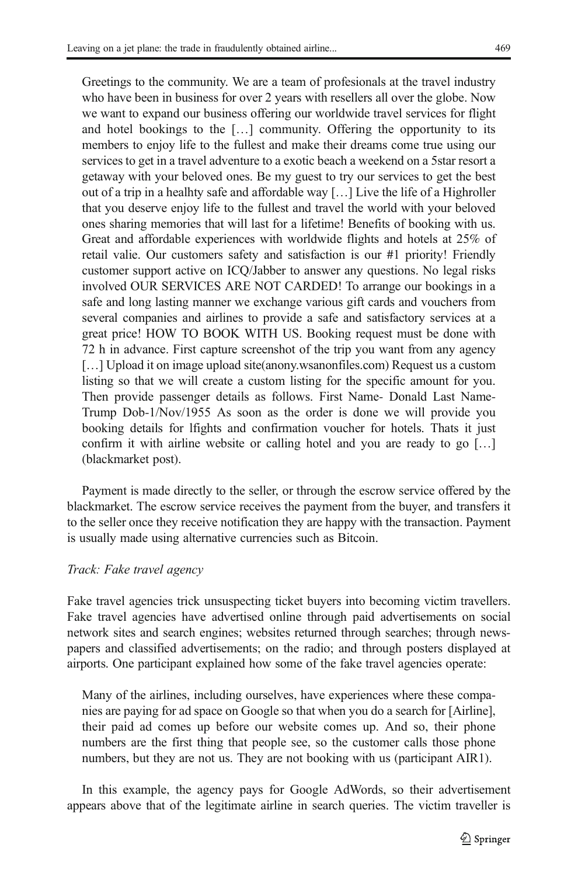Greetings to the community. We are a team of profesionals at the travel industry who have been in business for over 2 years with resellers all over the globe. Now we want to expand our business offering our worldwide travel services for flight and hotel bookings to the […] community. Offering the opportunity to its members to enjoy life to the fullest and make their dreams come true using our services to get in a travel adventure to a exotic beach a weekend on a 5star resort a getaway with your beloved ones. Be my guest to try our services to get the best out of a trip in a healhty safe and affordable way […] Live the life of a Highroller that you deserve enjoy life to the fullest and travel the world with your beloved ones sharing memories that will last for a lifetime! Benefits of booking with us. Great and affordable experiences with worldwide flights and hotels at 25% of retail valie. Our customers safety and satisfaction is our #1 priority! Friendly customer support active on ICQ/Jabber to answer any questions. No legal risks involved OUR SERVICES ARE NOT CARDED! To arrange our bookings in a safe and long lasting manner we exchange various gift cards and vouchers from several companies and airlines to provide a safe and satisfactory services at a great price! HOW TO BOOK WITH US. Booking request must be done with 72 h in advance. First capture screenshot of the trip you want from any agency [...] Upload it on image upload site(anony.wsanonfiles.com) Request us a custom listing so that we will create a custom listing for the specific amount for you. Then provide passenger details as follows. First Name- Donald Last Name-Trump Dob-1/Nov/1955 As soon as the order is done we will provide you booking details for lfights and confirmation voucher for hotels. Thats it just confirm it with airline website or calling hotel and you are ready to go […] (blackmarket post).

Payment is made directly to the seller, or through the escrow service offered by the blackmarket. The escrow service receives the payment from the buyer, and transfers it to the seller once they receive notification they are happy with the transaction. Payment is usually made using alternative currencies such as Bitcoin.

# Track: Fake travel agency

Fake travel agencies trick unsuspecting ticket buyers into becoming victim travellers. Fake travel agencies have advertised online through paid advertisements on social network sites and search engines; websites returned through searches; through newspapers and classified advertisements; on the radio; and through posters displayed at airports. One participant explained how some of the fake travel agencies operate:

Many of the airlines, including ourselves, have experiences where these companies are paying for ad space on Google so that when you do a search for [Airline], their paid ad comes up before our website comes up. And so, their phone numbers are the first thing that people see, so the customer calls those phone numbers, but they are not us. They are not booking with us (participant AIR1).

In this example, the agency pays for Google AdWords, so their advertisement appears above that of the legitimate airline in search queries. The victim traveller is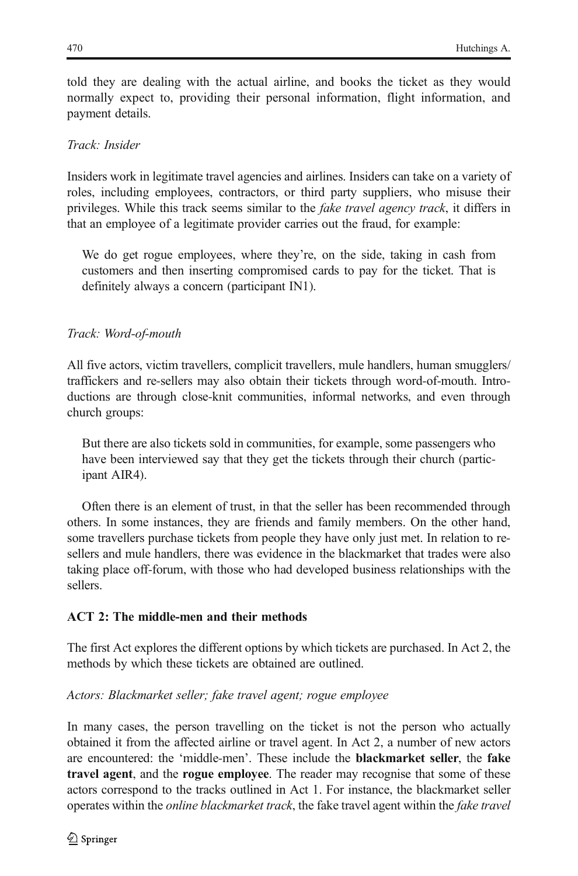told they are dealing with the actual airline, and books the ticket as they would normally expect to, providing their personal information, flight information, and payment details.

### Track: Insider

Insiders work in legitimate travel agencies and airlines. Insiders can take on a variety of roles, including employees, contractors, or third party suppliers, who misuse their privileges. While this track seems similar to the *fake travel agency track*, it differs in that an employee of a legitimate provider carries out the fraud, for example:

We do get rogue employees, where they're, on the side, taking in cash from customers and then inserting compromised cards to pay for the ticket. That is definitely always a concern (participant IN1).

### Track: Word-of-mouth

All five actors, victim travellers, complicit travellers, mule handlers, human smugglers/ traffickers and re-sellers may also obtain their tickets through word-of-mouth. Introductions are through close-knit communities, informal networks, and even through church groups:

But there are also tickets sold in communities, for example, some passengers who have been interviewed say that they get the tickets through their church (participant AIR4).

Often there is an element of trust, in that the seller has been recommended through others. In some instances, they are friends and family members. On the other hand, some travellers purchase tickets from people they have only just met. In relation to resellers and mule handlers, there was evidence in the blackmarket that trades were also taking place off-forum, with those who had developed business relationships with the sellers.

# ACT 2: The middle-men and their methods

The first Act explores the different options by which tickets are purchased. In Act 2, the methods by which these tickets are obtained are outlined.

# Actors: Blackmarket seller; fake travel agent; rogue employee

In many cases, the person travelling on the ticket is not the person who actually obtained it from the affected airline or travel agent. In Act 2, a number of new actors are encountered: the 'middle-men'. These include the blackmarket seller, the fake travel agent, and the rogue employee. The reader may recognise that some of these actors correspond to the tracks outlined in Act 1. For instance, the blackmarket seller operates within the online blackmarket track, the fake travel agent within the fake travel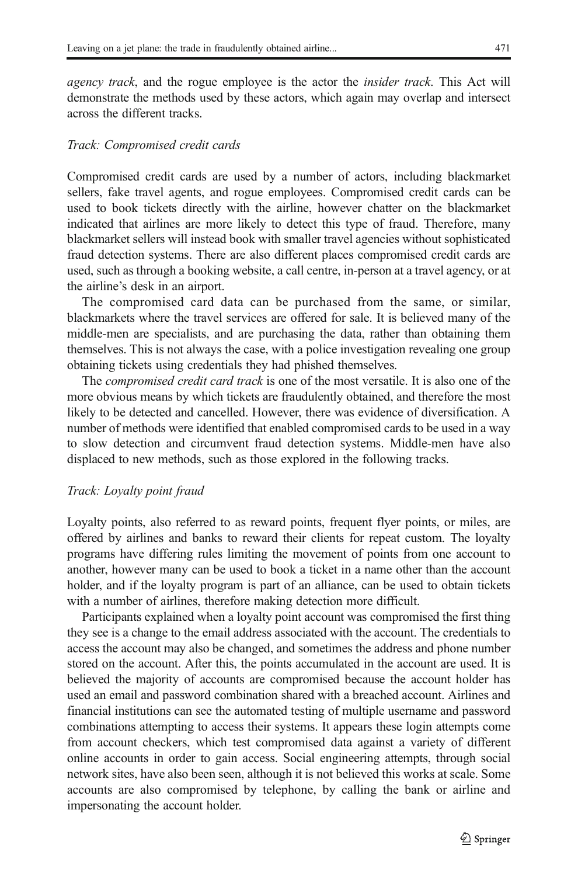agency track, and the rogue employee is the actor the *insider track*. This Act will demonstrate the methods used by these actors, which again may overlap and intersect across the different tracks.

#### Track: Compromised credit cards

Compromised credit cards are used by a number of actors, including blackmarket sellers, fake travel agents, and rogue employees. Compromised credit cards can be used to book tickets directly with the airline, however chatter on the blackmarket indicated that airlines are more likely to detect this type of fraud. Therefore, many blackmarket sellers will instead book with smaller travel agencies without sophisticated fraud detection systems. There are also different places compromised credit cards are used, such as through a booking website, a call centre, in-person at a travel agency, or at the airline's desk in an airport.

The compromised card data can be purchased from the same, or similar, blackmarkets where the travel services are offered for sale. It is believed many of the middle-men are specialists, and are purchasing the data, rather than obtaining them themselves. This is not always the case, with a police investigation revealing one group obtaining tickets using credentials they had phished themselves.

The compromised credit card track is one of the most versatile. It is also one of the more obvious means by which tickets are fraudulently obtained, and therefore the most likely to be detected and cancelled. However, there was evidence of diversification. A number of methods were identified that enabled compromised cards to be used in a way to slow detection and circumvent fraud detection systems. Middle-men have also displaced to new methods, such as those explored in the following tracks.

#### Track: Loyalty point fraud

Loyalty points, also referred to as reward points, frequent flyer points, or miles, are offered by airlines and banks to reward their clients for repeat custom. The loyalty programs have differing rules limiting the movement of points from one account to another, however many can be used to book a ticket in a name other than the account holder, and if the loyalty program is part of an alliance, can be used to obtain tickets with a number of airlines, therefore making detection more difficult.

Participants explained when a loyalty point account was compromised the first thing they see is a change to the email address associated with the account. The credentials to access the account may also be changed, and sometimes the address and phone number stored on the account. After this, the points accumulated in the account are used. It is believed the majority of accounts are compromised because the account holder has used an email and password combination shared with a breached account. Airlines and financial institutions can see the automated testing of multiple username and password combinations attempting to access their systems. It appears these login attempts come from account checkers, which test compromised data against a variety of different online accounts in order to gain access. Social engineering attempts, through social network sites, have also been seen, although it is not believed this works at scale. Some accounts are also compromised by telephone, by calling the bank or airline and impersonating the account holder.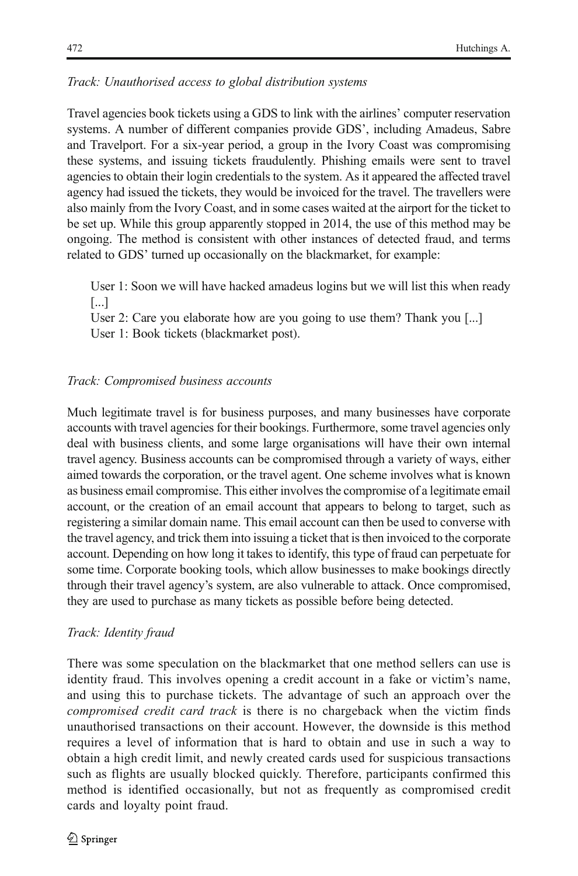# Track: Unauthorised access to global distribution systems

Travel agencies book tickets using a GDS to link with the airlines' computer reservation systems. A number of different companies provide GDS', including Amadeus, Sabre and Travelport. For a six-year period, a group in the Ivory Coast was compromising these systems, and issuing tickets fraudulently. Phishing emails were sent to travel agencies to obtain their login credentials to the system. As it appeared the affected travel agency had issued the tickets, they would be invoiced for the travel. The travellers were also mainly from the Ivory Coast, and in some cases waited at the airport for the ticket to be set up. While this group apparently stopped in 2014, the use of this method may be ongoing. The method is consistent with other instances of detected fraud, and terms related to GDS' turned up occasionally on the blackmarket, for example:

User 1: Soon we will have hacked amadeus logins but we will list this when ready [...]

User 2: Care you elaborate how are you going to use them? Thank you [...] User 1: Book tickets (blackmarket post).

# Track: Compromised business accounts

Much legitimate travel is for business purposes, and many businesses have corporate accounts with travel agencies for their bookings. Furthermore, some travel agencies only deal with business clients, and some large organisations will have their own internal travel agency. Business accounts can be compromised through a variety of ways, either aimed towards the corporation, or the travel agent. One scheme involves what is known as business email compromise. This either involves the compromise of a legitimate email account, or the creation of an email account that appears to belong to target, such as registering a similar domain name. This email account can then be used to converse with the travel agency, and trick them into issuing a ticket that is then invoiced to the corporate account. Depending on how long it takes to identify, this type of fraud can perpetuate for some time. Corporate booking tools, which allow businesses to make bookings directly through their travel agency's system, are also vulnerable to attack. Once compromised, they are used to purchase as many tickets as possible before being detected.

# Track: Identity fraud

There was some speculation on the blackmarket that one method sellers can use is identity fraud. This involves opening a credit account in a fake or victim's name, and using this to purchase tickets. The advantage of such an approach over the compromised credit card track is there is no chargeback when the victim finds unauthorised transactions on their account. However, the downside is this method requires a level of information that is hard to obtain and use in such a way to obtain a high credit limit, and newly created cards used for suspicious transactions such as flights are usually blocked quickly. Therefore, participants confirmed this method is identified occasionally, but not as frequently as compromised credit cards and loyalty point fraud.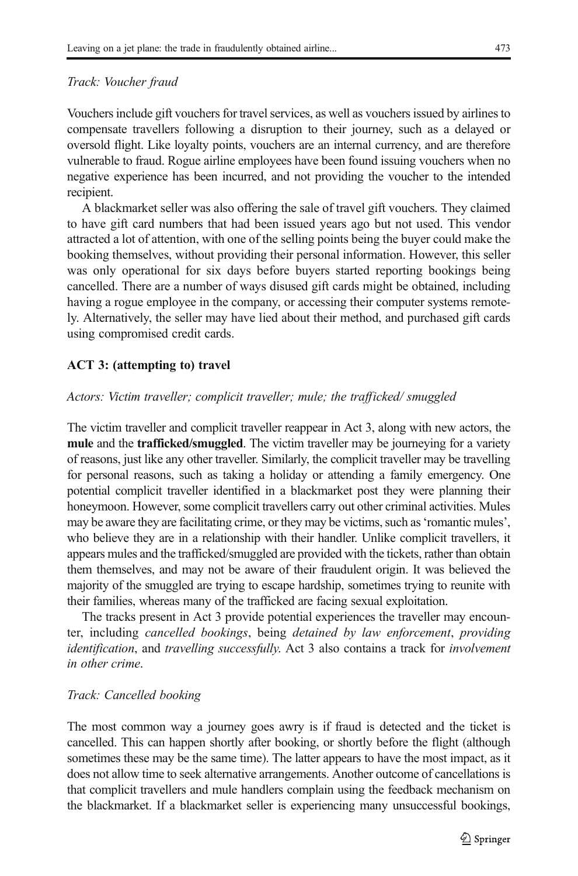### Track: Voucher fraud

Vouchers include gift vouchers for travel services, as well as vouchers issued by airlines to compensate travellers following a disruption to their journey, such as a delayed or oversold flight. Like loyalty points, vouchers are an internal currency, and are therefore vulnerable to fraud. Rogue airline employees have been found issuing vouchers when no negative experience has been incurred, and not providing the voucher to the intended recipient.

A blackmarket seller was also offering the sale of travel gift vouchers. They claimed to have gift card numbers that had been issued years ago but not used. This vendor attracted a lot of attention, with one of the selling points being the buyer could make the booking themselves, without providing their personal information. However, this seller was only operational for six days before buyers started reporting bookings being cancelled. There are a number of ways disused gift cards might be obtained, including having a rogue employee in the company, or accessing their computer systems remotely. Alternatively, the seller may have lied about their method, and purchased gift cards using compromised credit cards.

# ACT 3: (attempting to) travel

# Actors: Victim traveller; complicit traveller; mule; the trafficked/ smuggled

The victim traveller and complicit traveller reappear in Act 3, along with new actors, the mule and the trafficked/smuggled. The victim traveller may be journeying for a variety of reasons, just like any other traveller. Similarly, the complicit traveller may be travelling for personal reasons, such as taking a holiday or attending a family emergency. One potential complicit traveller identified in a blackmarket post they were planning their honeymoon. However, some complicit travellers carry out other criminal activities. Mules may be aware they are facilitating crime, or they may be victims, such as'romantic mules', who believe they are in a relationship with their handler. Unlike complicit travellers, it appears mules and the trafficked/smuggled are provided with the tickets, rather than obtain them themselves, and may not be aware of their fraudulent origin. It was believed the majority of the smuggled are trying to escape hardship, sometimes trying to reunite with their families, whereas many of the trafficked are facing sexual exploitation.

The tracks present in Act 3 provide potential experiences the traveller may encounter, including cancelled bookings, being detained by law enforcement, providing identification, and travelling successfully. Act 3 also contains a track for *involvement* in other crime.

# Track: Cancelled booking

The most common way a journey goes awry is if fraud is detected and the ticket is cancelled. This can happen shortly after booking, or shortly before the flight (although sometimes these may be the same time). The latter appears to have the most impact, as it does not allow time to seek alternative arrangements. Another outcome of cancellations is that complicit travellers and mule handlers complain using the feedback mechanism on the blackmarket. If a blackmarket seller is experiencing many unsuccessful bookings,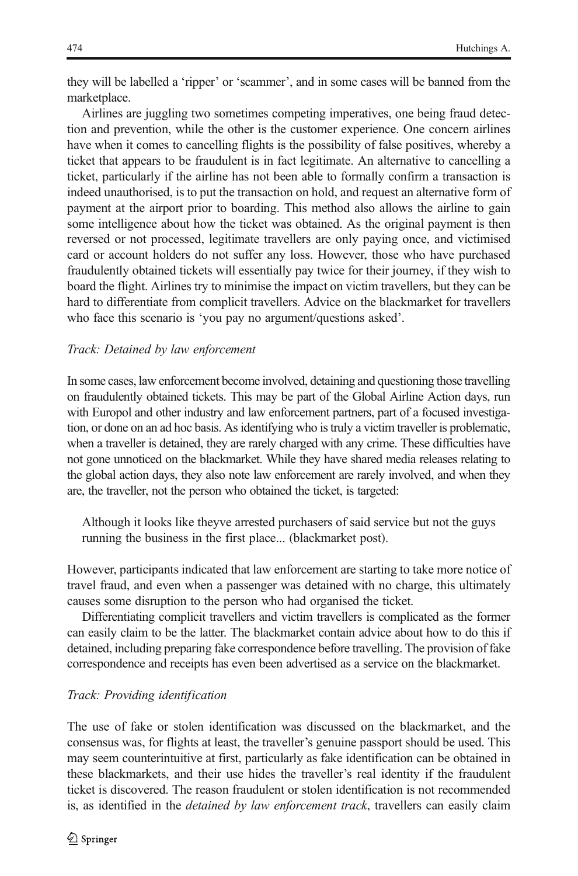they will be labelled a 'ripper' or 'scammer', and in some cases will be banned from the marketplace.

Airlines are juggling two sometimes competing imperatives, one being fraud detection and prevention, while the other is the customer experience. One concern airlines have when it comes to cancelling flights is the possibility of false positives, whereby a ticket that appears to be fraudulent is in fact legitimate. An alternative to cancelling a ticket, particularly if the airline has not been able to formally confirm a transaction is indeed unauthorised, is to put the transaction on hold, and request an alternative form of payment at the airport prior to boarding. This method also allows the airline to gain some intelligence about how the ticket was obtained. As the original payment is then reversed or not processed, legitimate travellers are only paying once, and victimised card or account holders do not suffer any loss. However, those who have purchased fraudulently obtained tickets will essentially pay twice for their journey, if they wish to board the flight. Airlines try to minimise the impact on victim travellers, but they can be hard to differentiate from complicit travellers. Advice on the blackmarket for travellers who face this scenario is 'you pay no argument/questions asked'.

### Track: Detained by law enforcement

In some cases, law enforcement become involved, detaining and questioning those travelling on fraudulently obtained tickets. This may be part of the Global Airline Action days, run with Europol and other industry and law enforcement partners, part of a focused investigation, or done on an ad hoc basis. As identifying who is truly a victim traveller is problematic, when a traveller is detained, they are rarely charged with any crime. These difficulties have not gone unnoticed on the blackmarket. While they have shared media releases relating to the global action days, they also note law enforcement are rarely involved, and when they are, the traveller, not the person who obtained the ticket, is targeted:

Although it looks like theyve arrested purchasers of said service but not the guys running the business in the first place... (blackmarket post).

However, participants indicated that law enforcement are starting to take more notice of travel fraud, and even when a passenger was detained with no charge, this ultimately causes some disruption to the person who had organised the ticket.

Differentiating complicit travellers and victim travellers is complicated as the former can easily claim to be the latter. The blackmarket contain advice about how to do this if detained, including preparing fake correspondence before travelling. The provision of fake correspondence and receipts has even been advertised as a service on the blackmarket.

### Track: Providing identification

The use of fake or stolen identification was discussed on the blackmarket, and the consensus was, for flights at least, the traveller's genuine passport should be used. This may seem counterintuitive at first, particularly as fake identification can be obtained in these blackmarkets, and their use hides the traveller's real identity if the fraudulent ticket is discovered. The reason fraudulent or stolen identification is not recommended is, as identified in the *detained by law enforcement track*, travellers can easily claim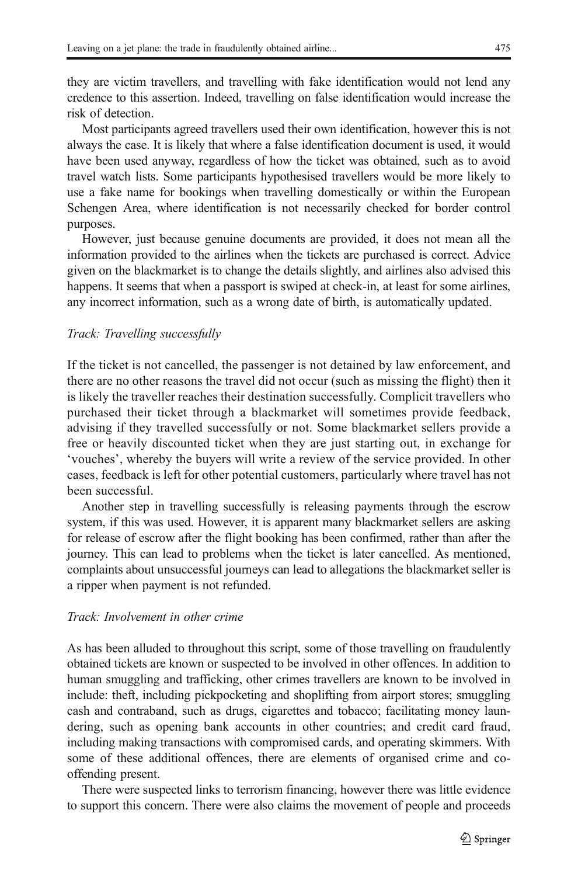they are victim travellers, and travelling with fake identification would not lend any credence to this assertion. Indeed, travelling on false identification would increase the risk of detection.

Most participants agreed travellers used their own identification, however this is not always the case. It is likely that where a false identification document is used, it would have been used anyway, regardless of how the ticket was obtained, such as to avoid travel watch lists. Some participants hypothesised travellers would be more likely to use a fake name for bookings when travelling domestically or within the European Schengen Area, where identification is not necessarily checked for border control purposes.

However, just because genuine documents are provided, it does not mean all the information provided to the airlines when the tickets are purchased is correct. Advice given on the blackmarket is to change the details slightly, and airlines also advised this happens. It seems that when a passport is swiped at check-in, at least for some airlines, any incorrect information, such as a wrong date of birth, is automatically updated.

### Track: Travelling successfully

If the ticket is not cancelled, the passenger is not detained by law enforcement, and there are no other reasons the travel did not occur (such as missing the flight) then it is likely the traveller reaches their destination successfully. Complicit travellers who purchased their ticket through a blackmarket will sometimes provide feedback, advising if they travelled successfully or not. Some blackmarket sellers provide a free or heavily discounted ticket when they are just starting out, in exchange for 'vouches', whereby the buyers will write a review of the service provided. In other cases, feedback is left for other potential customers, particularly where travel has not been successful.

Another step in travelling successfully is releasing payments through the escrow system, if this was used. However, it is apparent many blackmarket sellers are asking for release of escrow after the flight booking has been confirmed, rather than after the journey. This can lead to problems when the ticket is later cancelled. As mentioned, complaints about unsuccessful journeys can lead to allegations the blackmarket seller is a ripper when payment is not refunded.

#### Track: Involvement in other crime

As has been alluded to throughout this script, some of those travelling on fraudulently obtained tickets are known or suspected to be involved in other offences. In addition to human smuggling and trafficking, other crimes travellers are known to be involved in include: theft, including pickpocketing and shoplifting from airport stores; smuggling cash and contraband, such as drugs, cigarettes and tobacco; facilitating money laundering, such as opening bank accounts in other countries; and credit card fraud, including making transactions with compromised cards, and operating skimmers. With some of these additional offences, there are elements of organised crime and cooffending present.

There were suspected links to terrorism financing, however there was little evidence to support this concern. There were also claims the movement of people and proceeds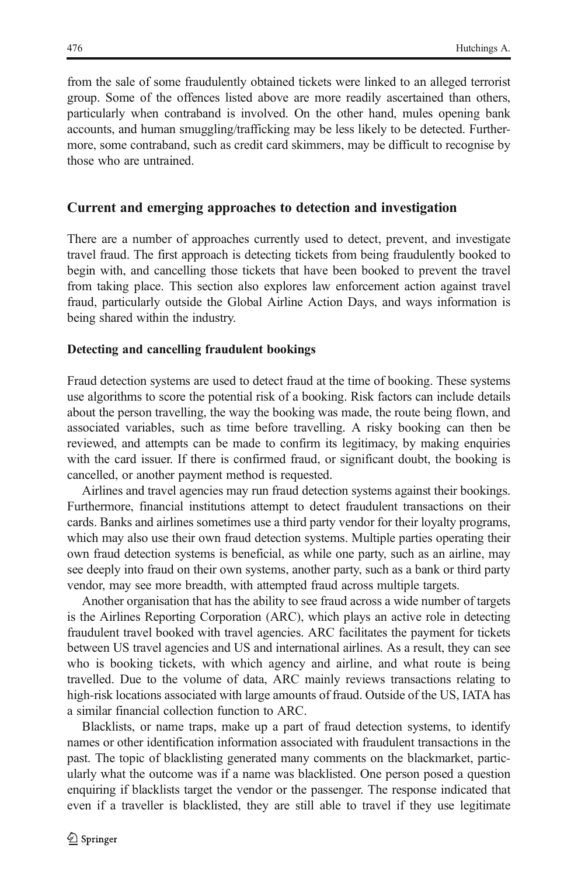from the sale of some fraudulently obtained tickets were linked to an alleged terrorist group. Some of the offences listed above are more readily ascertained than others, particularly when contraband is involved. On the other hand, mules opening bank accounts, and human smuggling/trafficking may be less likely to be detected. Furthermore, some contraband, such as credit card skimmers, may be difficult to recognise by those who are untrained.

### Current and emerging approaches to detection and investigation

There are a number of approaches currently used to detect, prevent, and investigate travel fraud. The first approach is detecting tickets from being fraudulently booked to begin with, and cancelling those tickets that have been booked to prevent the travel from taking place. This section also explores law enforcement action against travel fraud, particularly outside the Global Airline Action Days, and ways information is being shared within the industry.

#### Detecting and cancelling fraudulent bookings

Fraud detection systems are used to detect fraud at the time of booking. These systems use algorithms to score the potential risk of a booking. Risk factors can include details about the person travelling, the way the booking was made, the route being flown, and associated variables, such as time before travelling. A risky booking can then be reviewed, and attempts can be made to confirm its legitimacy, by making enquiries with the card issuer. If there is confirmed fraud, or significant doubt, the booking is cancelled, or another payment method is requested.

Airlines and travel agencies may run fraud detection systems against their bookings. Furthermore, financial institutions attempt to detect fraudulent transactions on their cards. Banks and airlines sometimes use a third party vendor for their loyalty programs, which may also use their own fraud detection systems. Multiple parties operating their own fraud detection systems is beneficial, as while one party, such as an airline, may see deeply into fraud on their own systems, another party, such as a bank or third party vendor, may see more breadth, with attempted fraud across multiple targets.

Another organisation that has the ability to see fraud across a wide number of targets is the Airlines Reporting Corporation (ARC), which plays an active role in detecting fraudulent travel booked with travel agencies. ARC facilitates the payment for tickets between US travel agencies and US and international airlines. As a result, they can see who is booking tickets, with which agency and airline, and what route is being travelled. Due to the volume of data, ARC mainly reviews transactions relating to high-risk locations associated with large amounts of fraud. Outside of the US, IATA has a similar financial collection function to ARC.

Blacklists, or name traps, make up a part of fraud detection systems, to identify names or other identification information associated with fraudulent transactions in the past. The topic of blacklisting generated many comments on the blackmarket, particularly what the outcome was if a name was blacklisted. One person posed a question enquiring if blacklists target the vendor or the passenger. The response indicated that even if a traveller is blacklisted, they are still able to travel if they use legitimate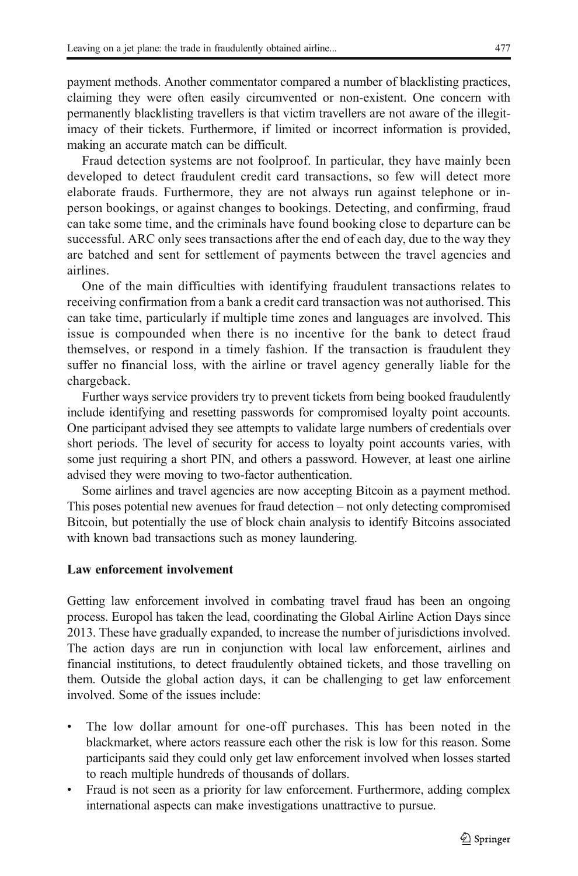payment methods. Another commentator compared a number of blacklisting practices, claiming they were often easily circumvented or non-existent. One concern with permanently blacklisting travellers is that victim travellers are not aware of the illegitimacy of their tickets. Furthermore, if limited or incorrect information is provided, making an accurate match can be difficult.

Fraud detection systems are not foolproof. In particular, they have mainly been developed to detect fraudulent credit card transactions, so few will detect more elaborate frauds. Furthermore, they are not always run against telephone or inperson bookings, or against changes to bookings. Detecting, and confirming, fraud can take some time, and the criminals have found booking close to departure can be successful. ARC only sees transactions after the end of each day, due to the way they are batched and sent for settlement of payments between the travel agencies and airlines.

One of the main difficulties with identifying fraudulent transactions relates to receiving confirmation from a bank a credit card transaction was not authorised. This can take time, particularly if multiple time zones and languages are involved. This issue is compounded when there is no incentive for the bank to detect fraud themselves, or respond in a timely fashion. If the transaction is fraudulent they suffer no financial loss, with the airline or travel agency generally liable for the chargeback.

Further ways service providers try to prevent tickets from being booked fraudulently include identifying and resetting passwords for compromised loyalty point accounts. One participant advised they see attempts to validate large numbers of credentials over short periods. The level of security for access to loyalty point accounts varies, with some just requiring a short PIN, and others a password. However, at least one airline advised they were moving to two-factor authentication.

Some airlines and travel agencies are now accepting Bitcoin as a payment method. This poses potential new avenues for fraud detection – not only detecting compromised Bitcoin, but potentially the use of block chain analysis to identify Bitcoins associated with known bad transactions such as money laundering.

### Law enforcement involvement

Getting law enforcement involved in combating travel fraud has been an ongoing process. Europol has taken the lead, coordinating the Global Airline Action Days since 2013. These have gradually expanded, to increase the number of jurisdictions involved. The action days are run in conjunction with local law enforcement, airlines and financial institutions, to detect fraudulently obtained tickets, and those travelling on them. Outside the global action days, it can be challenging to get law enforcement involved. Some of the issues include:

- The low dollar amount for one-off purchases. This has been noted in the blackmarket, where actors reassure each other the risk is low for this reason. Some participants said they could only get law enforcement involved when losses started to reach multiple hundreds of thousands of dollars.
- & Fraud is not seen as a priority for law enforcement. Furthermore, adding complex international aspects can make investigations unattractive to pursue.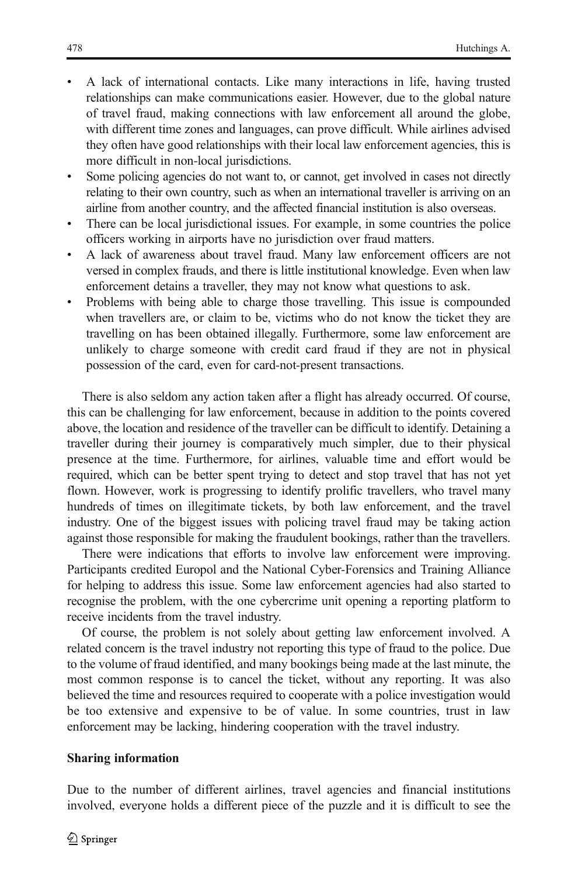- & A lack of international contacts. Like many interactions in life, having trusted relationships can make communications easier. However, due to the global nature of travel fraud, making connections with law enforcement all around the globe, with different time zones and languages, can prove difficult. While airlines advised they often have good relationships with their local law enforcement agencies, this is more difficult in non-local jurisdictions.
- & Some policing agencies do not want to, or cannot, get involved in cases not directly relating to their own country, such as when an international traveller is arriving on an airline from another country, and the affected financial institution is also overseas.
- There can be local jurisdictional issues. For example, in some countries the police officers working in airports have no jurisdiction over fraud matters.
- & A lack of awareness about travel fraud. Many law enforcement officers are not versed in complex frauds, and there is little institutional knowledge. Even when law enforcement detains a traveller, they may not know what questions to ask.
- & Problems with being able to charge those travelling. This issue is compounded when travellers are, or claim to be, victims who do not know the ticket they are travelling on has been obtained illegally. Furthermore, some law enforcement are unlikely to charge someone with credit card fraud if they are not in physical possession of the card, even for card-not-present transactions.

There is also seldom any action taken after a flight has already occurred. Of course, this can be challenging for law enforcement, because in addition to the points covered above, the location and residence of the traveller can be difficult to identify. Detaining a traveller during their journey is comparatively much simpler, due to their physical presence at the time. Furthermore, for airlines, valuable time and effort would be required, which can be better spent trying to detect and stop travel that has not yet flown. However, work is progressing to identify prolific travellers, who travel many hundreds of times on illegitimate tickets, by both law enforcement, and the travel industry. One of the biggest issues with policing travel fraud may be taking action against those responsible for making the fraudulent bookings, rather than the travellers.

There were indications that efforts to involve law enforcement were improving. Participants credited Europol and the National Cyber-Forensics and Training Alliance for helping to address this issue. Some law enforcement agencies had also started to recognise the problem, with the one cybercrime unit opening a reporting platform to receive incidents from the travel industry.

Of course, the problem is not solely about getting law enforcement involved. A related concern is the travel industry not reporting this type of fraud to the police. Due to the volume of fraud identified, and many bookings being made at the last minute, the most common response is to cancel the ticket, without any reporting. It was also believed the time and resources required to cooperate with a police investigation would be too extensive and expensive to be of value. In some countries, trust in law enforcement may be lacking, hindering cooperation with the travel industry.

#### Sharing information

Due to the number of different airlines, travel agencies and financial institutions involved, everyone holds a different piece of the puzzle and it is difficult to see the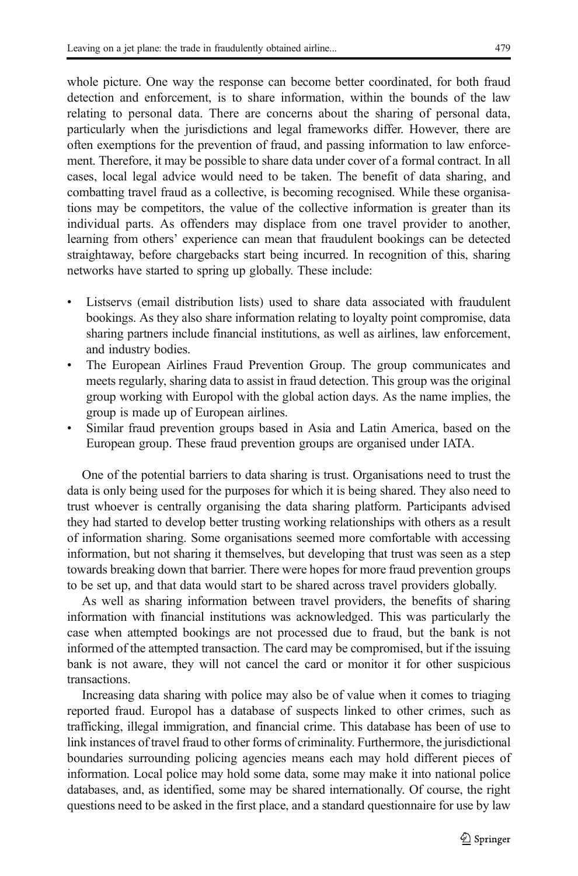whole picture. One way the response can become better coordinated, for both fraud detection and enforcement, is to share information, within the bounds of the law relating to personal data. There are concerns about the sharing of personal data, particularly when the jurisdictions and legal frameworks differ. However, there are often exemptions for the prevention of fraud, and passing information to law enforcement. Therefore, it may be possible to share data under cover of a formal contract. In all cases, local legal advice would need to be taken. The benefit of data sharing, and combatting travel fraud as a collective, is becoming recognised. While these organisations may be competitors, the value of the collective information is greater than its individual parts. As offenders may displace from one travel provider to another, learning from others' experience can mean that fraudulent bookings can be detected straightaway, before chargebacks start being incurred. In recognition of this, sharing networks have started to spring up globally. These include:

- & Listservs (email distribution lists) used to share data associated with fraudulent bookings. As they also share information relating to loyalty point compromise, data sharing partners include financial institutions, as well as airlines, law enforcement, and industry bodies.
- & The European Airlines Fraud Prevention Group. The group communicates and meets regularly, sharing data to assist in fraud detection. This group was the original group working with Europol with the global action days. As the name implies, the group is made up of European airlines.
- & Similar fraud prevention groups based in Asia and Latin America, based on the European group. These fraud prevention groups are organised under IATA.

One of the potential barriers to data sharing is trust. Organisations need to trust the data is only being used for the purposes for which it is being shared. They also need to trust whoever is centrally organising the data sharing platform. Participants advised they had started to develop better trusting working relationships with others as a result of information sharing. Some organisations seemed more comfortable with accessing information, but not sharing it themselves, but developing that trust was seen as a step towards breaking down that barrier. There were hopes for more fraud prevention groups to be set up, and that data would start to be shared across travel providers globally.

As well as sharing information between travel providers, the benefits of sharing information with financial institutions was acknowledged. This was particularly the case when attempted bookings are not processed due to fraud, but the bank is not informed of the attempted transaction. The card may be compromised, but if the issuing bank is not aware, they will not cancel the card or monitor it for other suspicious transactions.

Increasing data sharing with police may also be of value when it comes to triaging reported fraud. Europol has a database of suspects linked to other crimes, such as trafficking, illegal immigration, and financial crime. This database has been of use to link instances of travel fraud to other forms of criminality. Furthermore, the jurisdictional boundaries surrounding policing agencies means each may hold different pieces of information. Local police may hold some data, some may make it into national police databases, and, as identified, some may be shared internationally. Of course, the right questions need to be asked in the first place, and a standard questionnaire for use by law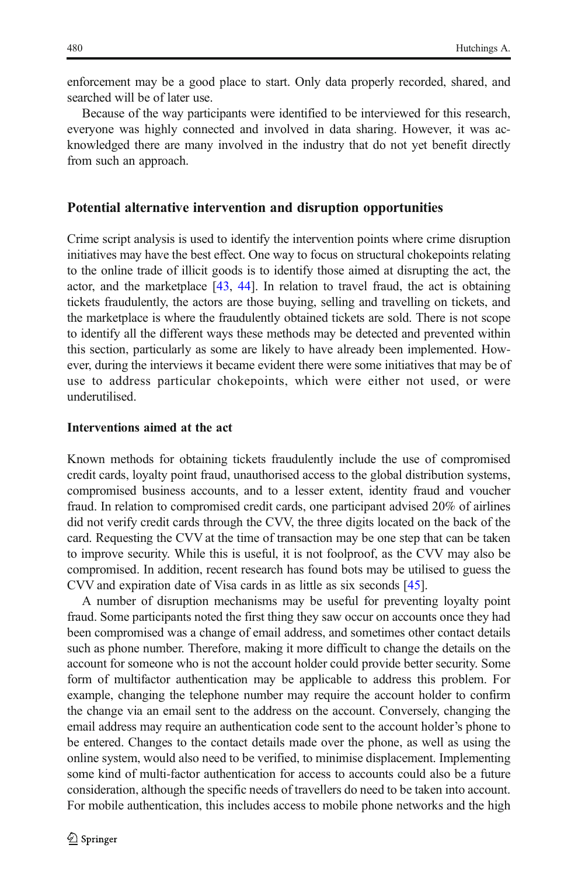enforcement may be a good place to start. Only data properly recorded, shared, and searched will be of later use.

Because of the way participants were identified to be interviewed for this research, everyone was highly connected and involved in data sharing. However, it was acknowledged there are many involved in the industry that do not yet benefit directly from such an approach.

### Potential alternative intervention and disruption opportunities

Crime script analysis is used to identify the intervention points where crime disruption initiatives may have the best effect. One way to focus on structural chokepoints relating to the online trade of illicit goods is to identify those aimed at disrupting the act, the actor, and the marketplace [[43](#page-26-0), [44\]](#page-26-0). In relation to travel fraud, the act is obtaining tickets fraudulently, the actors are those buying, selling and travelling on tickets, and the marketplace is where the fraudulently obtained tickets are sold. There is not scope to identify all the different ways these methods may be detected and prevented within this section, particularly as some are likely to have already been implemented. However, during the interviews it became evident there were some initiatives that may be of use to address particular chokepoints, which were either not used, or were underutilised.

### Interventions aimed at the act

Known methods for obtaining tickets fraudulently include the use of compromised credit cards, loyalty point fraud, unauthorised access to the global distribution systems, compromised business accounts, and to a lesser extent, identity fraud and voucher fraud. In relation to compromised credit cards, one participant advised 20% of airlines did not verify credit cards through the CVV, the three digits located on the back of the card. Requesting the CVV at the time of transaction may be one step that can be taken to improve security. While this is useful, it is not foolproof, as the CVV may also be compromised. In addition, recent research has found bots may be utilised to guess the CVV and expiration date of Visa cards in as little as six seconds [\[45\]](#page-26-0).

A number of disruption mechanisms may be useful for preventing loyalty point fraud. Some participants noted the first thing they saw occur on accounts once they had been compromised was a change of email address, and sometimes other contact details such as phone number. Therefore, making it more difficult to change the details on the account for someone who is not the account holder could provide better security. Some form of multifactor authentication may be applicable to address this problem. For example, changing the telephone number may require the account holder to confirm the change via an email sent to the address on the account. Conversely, changing the email address may require an authentication code sent to the account holder's phone to be entered. Changes to the contact details made over the phone, as well as using the online system, would also need to be verified, to minimise displacement. Implementing some kind of multi-factor authentication for access to accounts could also be a future consideration, although the specific needs of travellers do need to be taken into account. For mobile authentication, this includes access to mobile phone networks and the high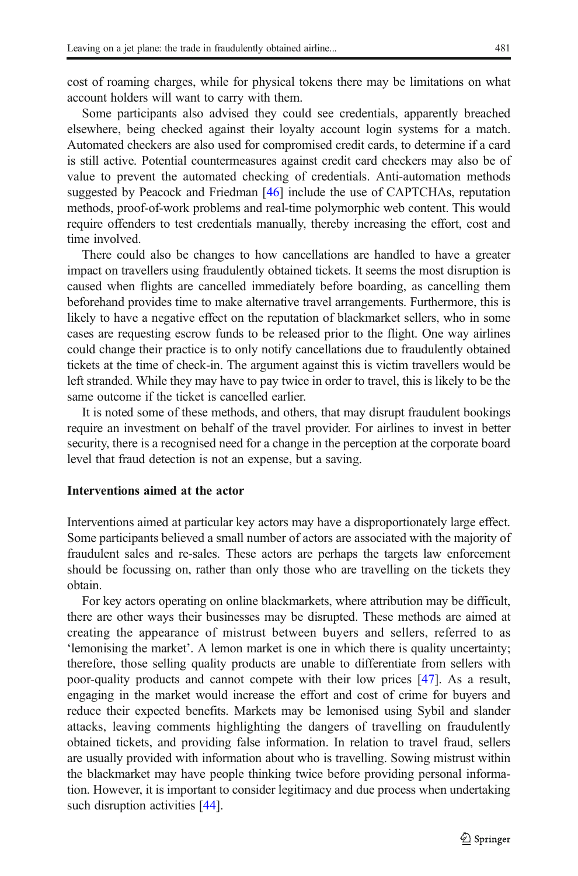cost of roaming charges, while for physical tokens there may be limitations on what account holders will want to carry with them.

Some participants also advised they could see credentials, apparently breached elsewhere, being checked against their loyalty account login systems for a match. Automated checkers are also used for compromised credit cards, to determine if a card is still active. Potential countermeasures against credit card checkers may also be of value to prevent the automated checking of credentials. Anti-automation methods suggested by Peacock and Friedman [[46](#page-26-0)] include the use of CAPTCHAs, reputation methods, proof-of-work problems and real-time polymorphic web content. This would require offenders to test credentials manually, thereby increasing the effort, cost and time involved.

There could also be changes to how cancellations are handled to have a greater impact on travellers using fraudulently obtained tickets. It seems the most disruption is caused when flights are cancelled immediately before boarding, as cancelling them beforehand provides time to make alternative travel arrangements. Furthermore, this is likely to have a negative effect on the reputation of blackmarket sellers, who in some cases are requesting escrow funds to be released prior to the flight. One way airlines could change their practice is to only notify cancellations due to fraudulently obtained tickets at the time of check-in. The argument against this is victim travellers would be left stranded. While they may have to pay twice in order to travel, this is likely to be the same outcome if the ticket is cancelled earlier.

It is noted some of these methods, and others, that may disrupt fraudulent bookings require an investment on behalf of the travel provider. For airlines to invest in better security, there is a recognised need for a change in the perception at the corporate board level that fraud detection is not an expense, but a saving.

#### Interventions aimed at the actor

Interventions aimed at particular key actors may have a disproportionately large effect. Some participants believed a small number of actors are associated with the majority of fraudulent sales and re-sales. These actors are perhaps the targets law enforcement should be focussing on, rather than only those who are travelling on the tickets they obtain.

For key actors operating on online blackmarkets, where attribution may be difficult, there are other ways their businesses may be disrupted. These methods are aimed at creating the appearance of mistrust between buyers and sellers, referred to as 'lemonising the market'. A lemon market is one in which there is quality uncertainty; therefore, those selling quality products are unable to differentiate from sellers with poor-quality products and cannot compete with their low prices [[47](#page-26-0)]. As a result, engaging in the market would increase the effort and cost of crime for buyers and reduce their expected benefits. Markets may be lemonised using Sybil and slander attacks, leaving comments highlighting the dangers of travelling on fraudulently obtained tickets, and providing false information. In relation to travel fraud, sellers are usually provided with information about who is travelling. Sowing mistrust within the blackmarket may have people thinking twice before providing personal information. However, it is important to consider legitimacy and due process when undertaking such disruption activities [\[44](#page-26-0)].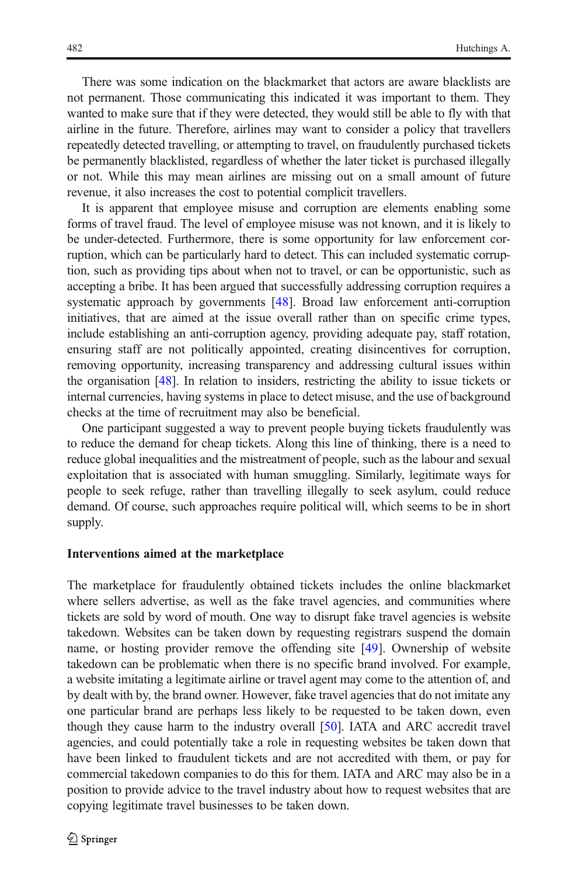There was some indication on the blackmarket that actors are aware blacklists are not permanent. Those communicating this indicated it was important to them. They wanted to make sure that if they were detected, they would still be able to fly with that airline in the future. Therefore, airlines may want to consider a policy that travellers repeatedly detected travelling, or attempting to travel, on fraudulently purchased tickets be permanently blacklisted, regardless of whether the later ticket is purchased illegally or not. While this may mean airlines are missing out on a small amount of future revenue, it also increases the cost to potential complicit travellers.

It is apparent that employee misuse and corruption are elements enabling some forms of travel fraud. The level of employee misuse was not known, and it is likely to be under-detected. Furthermore, there is some opportunity for law enforcement corruption, which can be particularly hard to detect. This can included systematic corruption, such as providing tips about when not to travel, or can be opportunistic, such as accepting a bribe. It has been argued that successfully addressing corruption requires a systematic approach by governments [[48\]](#page-26-0). Broad law enforcement anti-corruption initiatives, that are aimed at the issue overall rather than on specific crime types, include establishing an anti-corruption agency, providing adequate pay, staff rotation, ensuring staff are not politically appointed, creating disincentives for corruption, removing opportunity, increasing transparency and addressing cultural issues within the organisation [[48\]](#page-26-0). In relation to insiders, restricting the ability to issue tickets or internal currencies, having systems in place to detect misuse, and the use of background checks at the time of recruitment may also be beneficial.

One participant suggested a way to prevent people buying tickets fraudulently was to reduce the demand for cheap tickets. Along this line of thinking, there is a need to reduce global inequalities and the mistreatment of people, such as the labour and sexual exploitation that is associated with human smuggling. Similarly, legitimate ways for people to seek refuge, rather than travelling illegally to seek asylum, could reduce demand. Of course, such approaches require political will, which seems to be in short supply.

#### Interventions aimed at the marketplace

The marketplace for fraudulently obtained tickets includes the online blackmarket where sellers advertise, as well as the fake travel agencies, and communities where tickets are sold by word of mouth. One way to disrupt fake travel agencies is website takedown. Websites can be taken down by requesting registrars suspend the domain name, or hosting provider remove the offending site [[49\]](#page-26-0). Ownership of website takedown can be problematic when there is no specific brand involved. For example, a website imitating a legitimate airline or travel agent may come to the attention of, and by dealt with by, the brand owner. However, fake travel agencies that do not imitate any one particular brand are perhaps less likely to be requested to be taken down, even though they cause harm to the industry overall [[50](#page-26-0)]. IATA and ARC accredit travel agencies, and could potentially take a role in requesting websites be taken down that have been linked to fraudulent tickets and are not accredited with them, or pay for commercial takedown companies to do this for them. IATA and ARC may also be in a position to provide advice to the travel industry about how to request websites that are copying legitimate travel businesses to be taken down.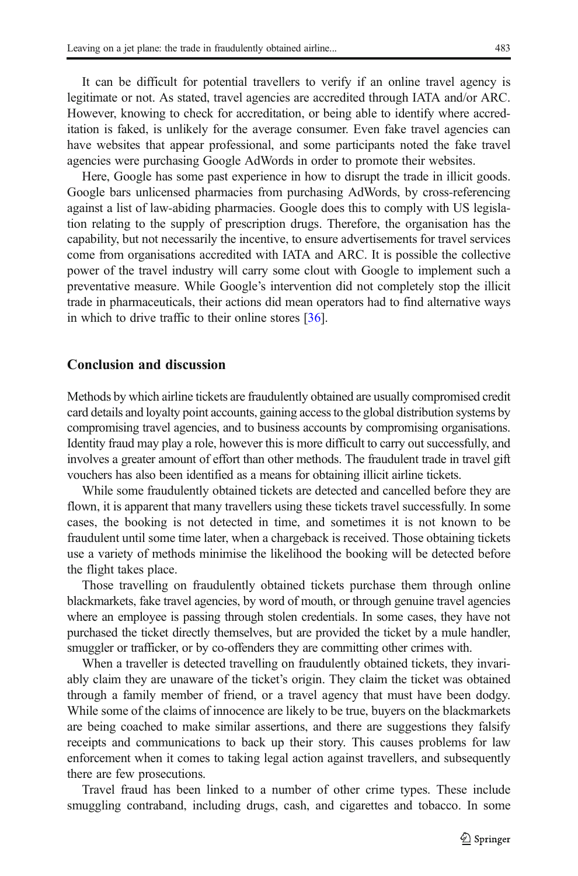It can be difficult for potential travellers to verify if an online travel agency is legitimate or not. As stated, travel agencies are accredited through IATA and/or ARC. However, knowing to check for accreditation, or being able to identify where accreditation is faked, is unlikely for the average consumer. Even fake travel agencies can have websites that appear professional, and some participants noted the fake travel agencies were purchasing Google AdWords in order to promote their websites.

Here, Google has some past experience in how to disrupt the trade in illicit goods. Google bars unlicensed pharmacies from purchasing AdWords, by cross-referencing against a list of law-abiding pharmacies. Google does this to comply with US legislation relating to the supply of prescription drugs. Therefore, the organisation has the capability, but not necessarily the incentive, to ensure advertisements for travel services come from organisations accredited with IATA and ARC. It is possible the collective power of the travel industry will carry some clout with Google to implement such a preventative measure. While Google's intervention did not completely stop the illicit trade in pharmaceuticals, their actions did mean operators had to find alternative ways in which to drive traffic to their online stores [\[36\]](#page-26-0).

### Conclusion and discussion

Methods by which airline tickets are fraudulently obtained are usually compromised credit card details and loyalty point accounts, gaining access to the global distribution systems by compromising travel agencies, and to business accounts by compromising organisations. Identity fraud may play a role, however this is more difficult to carry out successfully, and involves a greater amount of effort than other methods. The fraudulent trade in travel gift vouchers has also been identified as a means for obtaining illicit airline tickets.

While some fraudulently obtained tickets are detected and cancelled before they are flown, it is apparent that many travellers using these tickets travel successfully. In some cases, the booking is not detected in time, and sometimes it is not known to be fraudulent until some time later, when a chargeback is received. Those obtaining tickets use a variety of methods minimise the likelihood the booking will be detected before the flight takes place.

Those travelling on fraudulently obtained tickets purchase them through online blackmarkets, fake travel agencies, by word of mouth, or through genuine travel agencies where an employee is passing through stolen credentials. In some cases, they have not purchased the ticket directly themselves, but are provided the ticket by a mule handler, smuggler or trafficker, or by co-offenders they are committing other crimes with.

When a traveller is detected travelling on fraudulently obtained tickets, they invariably claim they are unaware of the ticket's origin. They claim the ticket was obtained through a family member of friend, or a travel agency that must have been dodgy. While some of the claims of innocence are likely to be true, buyers on the blackmarkets are being coached to make similar assertions, and there are suggestions they falsify receipts and communications to back up their story. This causes problems for law enforcement when it comes to taking legal action against travellers, and subsequently there are few prosecutions.

Travel fraud has been linked to a number of other crime types. These include smuggling contraband, including drugs, cash, and cigarettes and tobacco. In some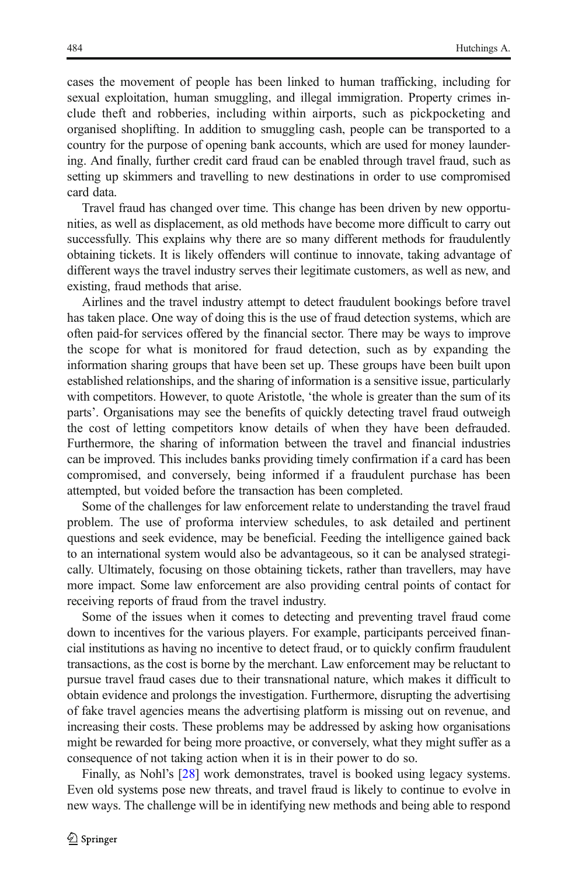cases the movement of people has been linked to human trafficking, including for sexual exploitation, human smuggling, and illegal immigration. Property crimes include theft and robberies, including within airports, such as pickpocketing and organised shoplifting. In addition to smuggling cash, people can be transported to a country for the purpose of opening bank accounts, which are used for money laundering. And finally, further credit card fraud can be enabled through travel fraud, such as setting up skimmers and travelling to new destinations in order to use compromised card data.

Travel fraud has changed over time. This change has been driven by new opportunities, as well as displacement, as old methods have become more difficult to carry out successfully. This explains why there are so many different methods for fraudulently obtaining tickets. It is likely offenders will continue to innovate, taking advantage of different ways the travel industry serves their legitimate customers, as well as new, and existing, fraud methods that arise.

Airlines and the travel industry attempt to detect fraudulent bookings before travel has taken place. One way of doing this is the use of fraud detection systems, which are often paid-for services offered by the financial sector. There may be ways to improve the scope for what is monitored for fraud detection, such as by expanding the information sharing groups that have been set up. These groups have been built upon established relationships, and the sharing of information is a sensitive issue, particularly with competitors. However, to quote Aristotle, 'the whole is greater than the sum of its parts'. Organisations may see the benefits of quickly detecting travel fraud outweigh the cost of letting competitors know details of when they have been defrauded. Furthermore, the sharing of information between the travel and financial industries can be improved. This includes banks providing timely confirmation if a card has been compromised, and conversely, being informed if a fraudulent purchase has been attempted, but voided before the transaction has been completed.

Some of the challenges for law enforcement relate to understanding the travel fraud problem. The use of proforma interview schedules, to ask detailed and pertinent questions and seek evidence, may be beneficial. Feeding the intelligence gained back to an international system would also be advantageous, so it can be analysed strategically. Ultimately, focusing on those obtaining tickets, rather than travellers, may have more impact. Some law enforcement are also providing central points of contact for receiving reports of fraud from the travel industry.

Some of the issues when it comes to detecting and preventing travel fraud come down to incentives for the various players. For example, participants perceived financial institutions as having no incentive to detect fraud, or to quickly confirm fraudulent transactions, as the cost is borne by the merchant. Law enforcement may be reluctant to pursue travel fraud cases due to their transnational nature, which makes it difficult to obtain evidence and prolongs the investigation. Furthermore, disrupting the advertising of fake travel agencies means the advertising platform is missing out on revenue, and increasing their costs. These problems may be addressed by asking how organisations might be rewarded for being more proactive, or conversely, what they might suffer as a consequence of not taking action when it is in their power to do so.

Finally, as Nohl's [[28](#page-25-0)] work demonstrates, travel is booked using legacy systems. Even old systems pose new threats, and travel fraud is likely to continue to evolve in new ways. The challenge will be in identifying new methods and being able to respond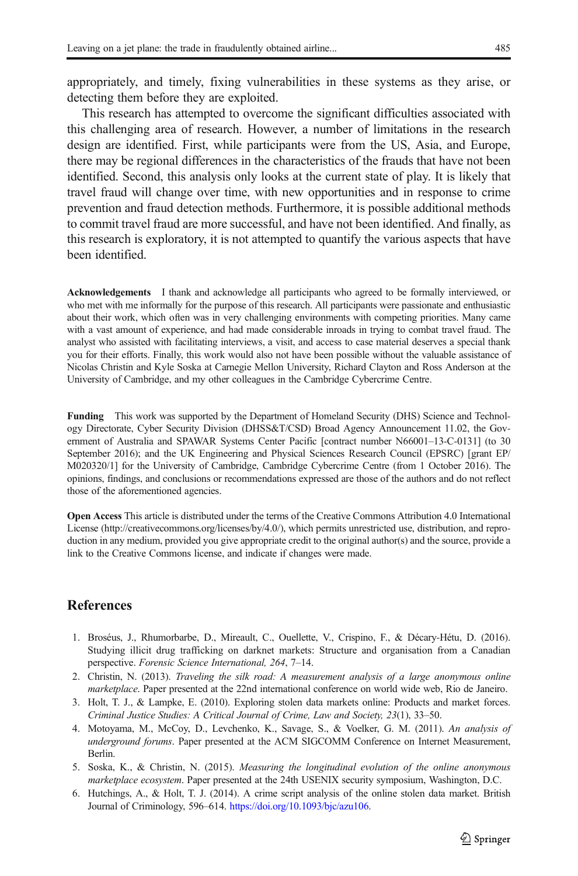<span id="page-24-0"></span>appropriately, and timely, fixing vulnerabilities in these systems as they arise, or detecting them before they are exploited.

This research has attempted to overcome the significant difficulties associated with this challenging area of research. However, a number of limitations in the research design are identified. First, while participants were from the US, Asia, and Europe, there may be regional differences in the characteristics of the frauds that have not been identified. Second, this analysis only looks at the current state of play. It is likely that travel fraud will change over time, with new opportunities and in response to crime prevention and fraud detection methods. Furthermore, it is possible additional methods to commit travel fraud are more successful, and have not been identified. And finally, as this research is exploratory, it is not attempted to quantify the various aspects that have been identified.

Acknowledgements I thank and acknowledge all participants who agreed to be formally interviewed, or who met with me informally for the purpose of this research. All participants were passionate and enthusiastic about their work, which often was in very challenging environments with competing priorities. Many came with a vast amount of experience, and had made considerable inroads in trying to combat travel fraud. The analyst who assisted with facilitating interviews, a visit, and access to case material deserves a special thank you for their efforts. Finally, this work would also not have been possible without the valuable assistance of Nicolas Christin and Kyle Soska at Carnegie Mellon University, Richard Clayton and Ross Anderson at the University of Cambridge, and my other colleagues in the Cambridge Cybercrime Centre.

Funding This work was supported by the Department of Homeland Security (DHS) Science and Technology Directorate, Cyber Security Division (DHSS&T/CSD) Broad Agency Announcement 11.02, the Government of Australia and SPAWAR Systems Center Pacific [contract number N66001–13-C-0131] (to 30 September 2016); and the UK Engineering and Physical Sciences Research Council (EPSRC) [grant EP/ M020320/1] for the University of Cambridge, Cambridge Cybercrime Centre (from 1 October 2016). The opinions, findings, and conclusions or recommendations expressed are those of the authors and do not reflect those of the aforementioned agencies.

Open Access This article is distributed under the terms of the Creative Commons Attribution 4.0 International License (http://creativecommons.org/licenses/by/4.0/), which permits unrestricted use, distribution, and reproduction in any medium, provided you give appropriate credit to the original author(s) and the source, provide a link to the Creative Commons license, and indicate if changes were made.

### **References**

- 1. Broséus, J., Rhumorbarbe, D., Mireault, C., Ouellette, V., Crispino, F., & Décary-Hétu, D. (2016). Studying illicit drug trafficking on darknet markets: Structure and organisation from a Canadian perspective. Forensic Science International, 264, 7–14.
- 2. Christin, N. (2013). Traveling the silk road: A measurement analysis of a large anonymous online marketplace. Paper presented at the 22nd international conference on world wide web, Rio de Janeiro.
- 3. Holt, T. J., & Lampke, E. (2010). Exploring stolen data markets online: Products and market forces. Criminal Justice Studies: A Critical Journal of Crime, Law and Society, 23(1), 33–50.
- 4. Motoyama, M., McCoy, D., Levchenko, K., Savage, S., & Voelker, G. M. (2011). An analysis of underground forums. Paper presented at the ACM SIGCOMM Conference on Internet Measurement, Berlin.
- 5. Soska, K., & Christin, N. (2015). Measuring the longitudinal evolution of the online anonymous marketplace ecosystem. Paper presented at the 24th USENIX security symposium, Washington, D.C.
- 6. Hutchings, A., & Holt, T. J. (2014). A crime script analysis of the online stolen data market. British Journal of Criminology, 596–614. <https://doi.org/10.1093/bjc/azu106>.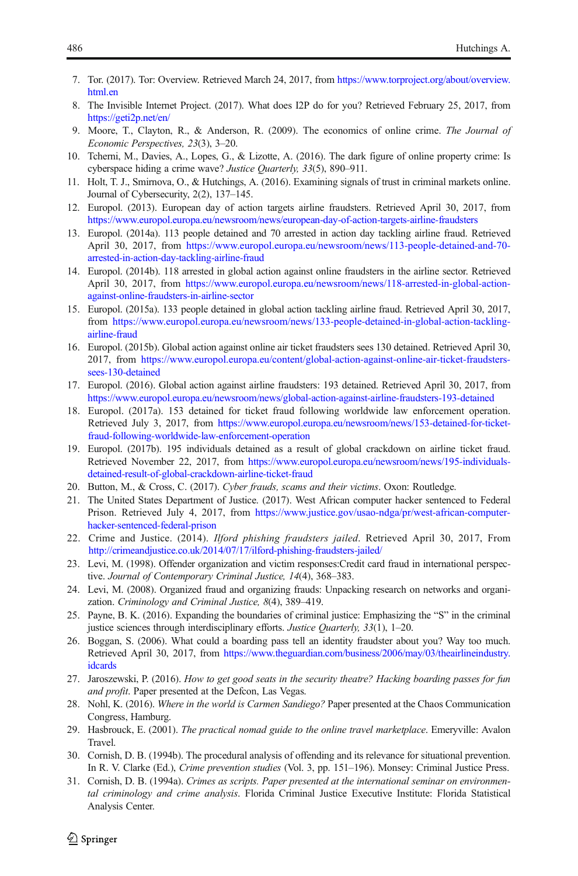- <span id="page-25-0"></span>7. Tor. (2017). Tor: Overview. Retrieved March 24, 2017, from [https://www.torproject.org/about/overview.](https://www.torproject.org/about/overview.html.en) [html.en](https://www.torproject.org/about/overview.html.en)
- 8. The Invisible Internet Project. (2017). What does I2P do for you? Retrieved February 25, 2017, from <https://geti2p.net/en/>
- 9. Moore, T., Clayton, R., & Anderson, R. (2009). The economics of online crime. The Journal of Economic Perspectives, 23(3), 3–20.
- 10. Tcherni, M., Davies, A., Lopes, G., & Lizotte, A. (2016). The dark figure of online property crime: Is cyberspace hiding a crime wave? Justice Quarterly, 33(5), 890–911.
- 11. Holt, T. J., Smirnova, O., & Hutchings, A. (2016). Examining signals of trust in criminal markets online. Journal of Cybersecurity, 2(2), 137–145.
- 12. Europol. (2013). European day of action targets airline fraudsters. Retrieved April 30, 2017, from <https://www.europol.europa.eu/newsroom/news/european-day-of-action-targets-airline-fraudsters>
- 13. Europol. (2014a). 113 people detained and 70 arrested in action day tackling airline fraud. Retrieved April 30, 2017, from [https://www.europol.europa.eu/newsroom/news/113-people-detained-and-70](https://www.europol.europa.eu/newsroom/news/113-people-detained-and-70-arrested-in-action-day-tackling-airline-fraud) [arrested-in-action-day-tackling-airline-fraud](https://www.europol.europa.eu/newsroom/news/113-people-detained-and-70-arrested-in-action-day-tackling-airline-fraud)
- 14. Europol. (2014b). 118 arrested in global action against online fraudsters in the airline sector. Retrieved April 30, 2017, from [https://www.europol.europa.eu/newsroom/news/118-arrested-in-global-action](https://www.europol.europa.eu/newsroom/news/118-arrested-in-global-action-against-online-fraudsters-in-airline-sector)[against-online-fraudsters-in-airline-sector](https://www.europol.europa.eu/newsroom/news/118-arrested-in-global-action-against-online-fraudsters-in-airline-sector)
- 15. Europol. (2015a). 133 people detained in global action tackling airline fraud. Retrieved April 30, 2017, from [https://www.europol.europa.eu/newsroom/news/133-people-detained-in-global-action-tackling](https://www.europol.europa.eu/newsroom/news/133-people-detained-in-global-action-tackling-airline-fraud)[airline-fraud](https://www.europol.europa.eu/newsroom/news/133-people-detained-in-global-action-tackling-airline-fraud)
- 16. Europol. (2015b). Global action against online air ticket fraudsters sees 130 detained. Retrieved April 30, 2017, from [https://www.europol.europa.eu/content/global-action-against-online-air-ticket-fraudsters](https://www.europol.europa.eu/content/global-action-against-online-air-ticket-fraudsters-sees-130-detained)[sees-130-detained](https://www.europol.europa.eu/content/global-action-against-online-air-ticket-fraudsters-sees-130-detained)
- 17. Europol. (2016). Global action against airline fraudsters: 193 detained. Retrieved April 30, 2017, from <https://www.europol.europa.eu/newsroom/news/global-action-against-airline-fraudsters-193-detained>
- 18. Europol. (2017a). 153 detained for ticket fraud following worldwide law enforcement operation. Retrieved July 3, 2017, from [https://www.europol.europa.eu/newsroom/news/153-detained-for-ticket](https://doi.org/10.1093/bjc/azu106)[fraud-following-worldwide-law-enforcement-operation](https://doi.org/10.1093/bjc/azu106)
- 19. Europol. (2017b). 195 individuals detained as a result of global crackdown on airline ticket fraud. Retrieved November 22, 2017, from [https://www.europol.europa.eu/newsroom/news/195-individuals](https://www.europol.europa.eu/newsroom/news/195-individuals-detained-result-of-global-crackdown-airline-ticket-fraud)[detained-result-of-global-crackdown-airline-ticket-fraud](https://www.europol.europa.eu/newsroom/news/195-individuals-detained-result-of-global-crackdown-airline-ticket-fraud)
- 20. Button, M., & Cross, C. (2017). Cyber frauds, scams and their victims. Oxon: Routledge.
- 21. The United States Department of Justice. (2017). West African computer hacker sentenced to Federal Prison. Retrieved July 4, 2017, from [https://www.justice.gov/usao-ndga/pr/west-african-computer](https://www.justice.gov/usao-ndga/pr/west-african-computer-hacker-sentenced-federal-prison)[hacker-sentenced-federal-prison](https://www.justice.gov/usao-ndga/pr/west-african-computer-hacker-sentenced-federal-prison)
- 22. Crime and Justice. (2014). Ilford phishing fraudsters jailed. Retrieved April 30, 2017, From <http://crimeandjustice.co.uk/2014/07/17/ilford-phishing-fraudsters-jailed/>
- 23. Levi, M. (1998). Offender organization and victim responses:Credit card fraud in international perspective. Journal of Contemporary Criminal Justice, 14(4), 368–383.
- 24. Levi, M. (2008). Organized fraud and organizing frauds: Unpacking research on networks and organization. Criminology and Criminal Justice, 8(4), 389–419.
- 25. Payne, B. K. (2016). Expanding the boundaries of criminal justice: Emphasizing the "S" in the criminal justice sciences through interdisciplinary efforts. Justice Quarterly, 33(1), 1–20.
- 26. Boggan, S. (2006). What could a boarding pass tell an identity fraudster about you? Way too much. Retrieved April 30, 2017, from [https://www.theguardian.com/business/2006/may/03/theairlineindustry.](https://www.theguardian.com/business/2006/may/03/theairlineindustry.idcards) [idcards](https://www.theguardian.com/business/2006/may/03/theairlineindustry.idcards)
- 27. Jaroszewski, P. (2016). How to get good seats in the security theatre? Hacking boarding passes for fun and profit. Paper presented at the Defcon, Las Vegas.
- 28. Nohl, K. (2016). Where in the world is Carmen Sandiego? Paper presented at the Chaos Communication Congress, Hamburg.
- 29. Hasbrouck, E. (2001). The practical nomad guide to the online travel marketplace. Emeryville: Avalon Travel.
- 30. Cornish, D. B. (1994b). The procedural analysis of offending and its relevance for situational prevention. In R. V. Clarke (Ed.), Crime prevention studies (Vol. 3, pp. 151–196). Monsey: Criminal Justice Press.
- 31. Cornish, D. B. (1994a). Crimes as scripts. Paper presented at the international seminar on environmental criminology and crime analysis. Florida Criminal Justice Executive Institute: Florida Statistical Analysis Center.